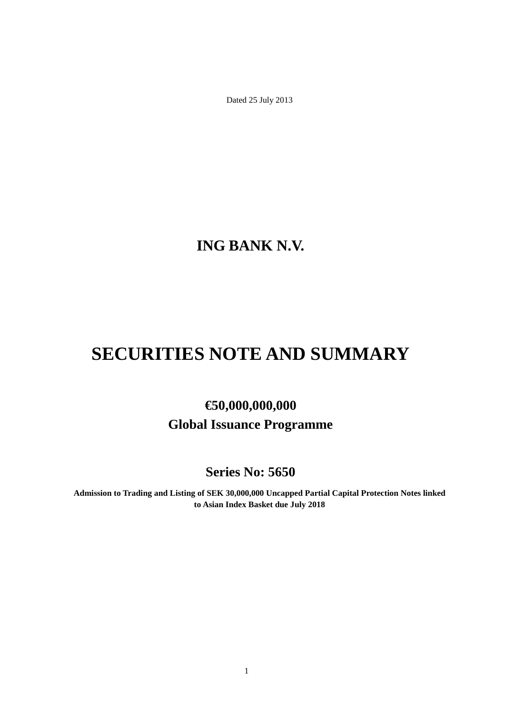Dated 25 July 2013

**ING BANK N.V.**

# **SECURITIES NOTE AND SUMMARY**

# **€50,000,000,000 Global Issuance Programme**

**Series No: 5650**

**Admission to Trading and Listing of SEK 30,000,000 Uncapped Partial Capital Protection Notes linked to Asian Index Basket due July 2018**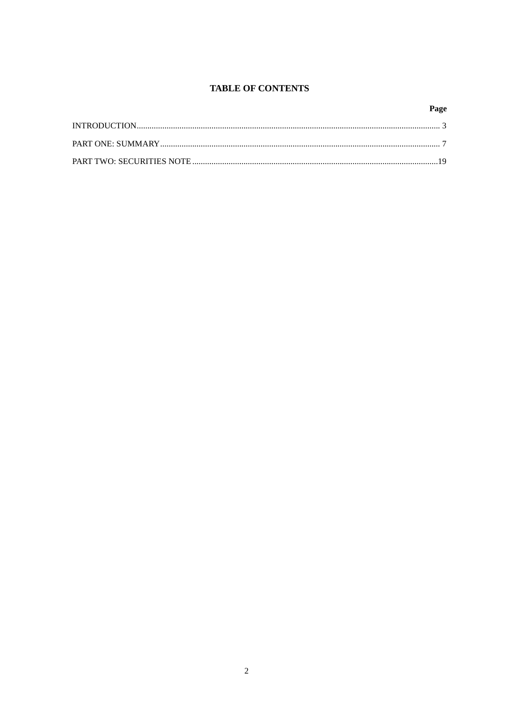# **TABLE OF CONTENTS**

# Page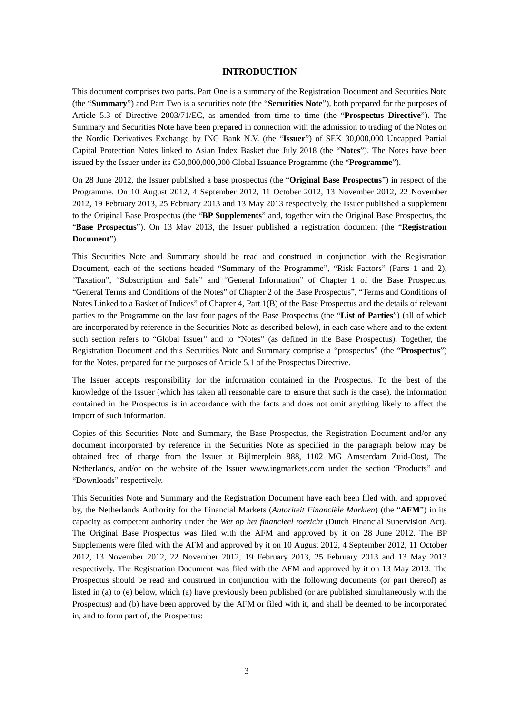# **INTRODUCTION**

This document comprises two parts. Part One is a summary of the Registration Document and Securities Note (the "**Summary**") and Part Two is a securities note (the "**Securities Note**"), both prepared for the purposes of Article 5.3 of Directive 2003/71/EC, as amended from time to time (the "**Prospectus Directive**"). The Summary and Securities Note have been prepared in connection with the admission to trading of the Notes on the Nordic Derivatives Exchange by ING Bank N.V. (the "**Issuer**") of SEK 30,000,000 Uncapped Partial Capital Protection Notes linked to Asian Index Basket due July 2018 (the "**Notes**"). The Notes have been issued by the Issuer under its €50,000,000,000 Global Issuance Programme (the "**Programme**").

On 28 June 2012, the Issuer published a base prospectus (the "**Original Base Prospectus**") in respect of the Programme. On 10 August 2012, 4 September 2012, 11 October 2012, 13 November 2012, 22 November 2012, 19 February 2013, 25 February 2013 and 13 May 2013 respectively, the Issuer published a supplement to the Original Base Prospectus (the "**BP Supplements**" and, together with the Original Base Prospectus, the "**Base Prospectus**"). On 13 May 2013, the Issuer published a registration document (the "**Registration Document**").

This Securities Note and Summary should be read and construed in conjunction with the Registration Document, each of the sections headed "Summary of the Programme", "Risk Factors" (Parts 1 and 2), "Taxation", "Subscription and Sale" and "General Information" of Chapter 1 of the Base Prospectus, "General Terms and Conditions of the Notes" of Chapter 2 of the Base Prospectus", "Terms and Conditions of Notes Linked to a Basket of Indices" of Chapter 4, Part 1(B) of the Base Prospectus and the details of relevant parties to the Programme on the last four pages of the Base Prospectus (the "**List of Parties**") (all of which are incorporated by reference in the Securities Note as described below), in each case where and to the extent such section refers to "Global Issuer" and to "Notes" (as defined in the Base Prospectus). Together, the Registration Document and this Securities Note and Summary comprise a "prospectus" (the "**Prospectus**") for the Notes, prepared for the purposes of Article 5.1 of the Prospectus Directive.

The Issuer accepts responsibility for the information contained in the Prospectus. To the best of the knowledge of the Issuer (which has taken all reasonable care to ensure that such is the case), the information contained in the Prospectus is in accordance with the facts and does not omit anything likely to affect the import of such information.

Copies of this Securities Note and Summary, the Base Prospectus, the Registration Document and/or any document incorporated by reference in the Securities Note as specified in the paragraph below may be obtained free of charge from the Issuer at Bijlmerplein 888, 1102 MG Amsterdam Zuid-Oost, The Netherlands, and/or on the website of the Issuer www.ingmarkets.com under the section "Products" and "Downloads" respectively.

This Securities Note and Summary and the Registration Document have each been filed with, and approved by, the Netherlands Authority for the Financial Markets (*Autoriteit Financiële Markten*) (the "**AFM**") in its capacity as competent authority under the *Wet op het financieel toezicht* (Dutch Financial Supervision Act). The Original Base Prospectus was filed with the AFM and approved by it on 28 June 2012. The BP Supplements were filed with the AFM and approved by it on 10 August 2012, 4 September 2012, 11 October 2012, 13 November 2012, 22 November 2012, 19 February 2013, 25 February 2013 and 13 May 2013 respectively. The Registration Document was filed with the AFM and approved by it on 13 May 2013. The Prospectus should be read and construed in conjunction with the following documents (or part thereof) as listed in (a) to (e) below, which (a) have previously been published (or are published simultaneously with the Prospectus) and (b) have been approved by the AFM or filed with it, and shall be deemed to be incorporated in, and to form part of, the Prospectus: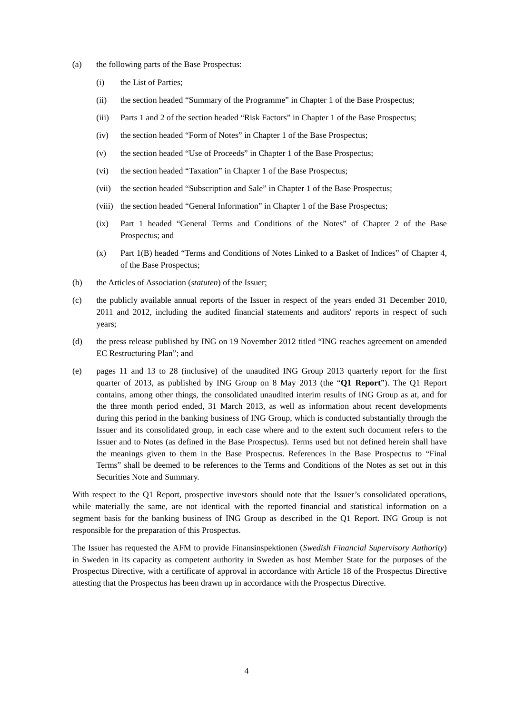- (a) the following parts of the Base Prospectus:
	- (i) the List of Parties;
	- (ii) the section headed "Summary of the Programme" in Chapter 1 of the Base Prospectus;
	- (iii) Parts 1 and 2 of the section headed "Risk Factors" in Chapter 1 of the Base Prospectus;
	- (iv) the section headed "Form of Notes" in Chapter 1 of the Base Prospectus;
	- (v) the section headed "Use of Proceeds" in Chapter 1 of the Base Prospectus;
	- (vi) the section headed "Taxation" in Chapter 1 of the Base Prospectus;
	- (vii) the section headed "Subscription and Sale" in Chapter 1 of the Base Prospectus;
	- (viii) the section headed "General Information" in Chapter 1 of the Base Prospectus;
	- (ix) Part 1 headed "General Terms and Conditions of the Notes" of Chapter 2 of the Base Prospectus; and
	- (x) Part 1(B) headed "Terms and Conditions of Notes Linked to a Basket of Indices" of Chapter 4, of the Base Prospectus;
- (b) the Articles of Association (*statuten*) of the Issuer;
- (c) the publicly available annual reports of the Issuer in respect of the years ended 31 December 2010, 2011 and 2012, including the audited financial statements and auditors' reports in respect of such years;
- (d) the press release published by ING on 19 November 2012 titled "ING reaches agreement on amended EC Restructuring Plan"; and
- (e) pages 11 and 13 to 28 (inclusive) of the unaudited ING Group 2013 quarterly report for the first quarter of 2013, as published by ING Group on 8 May 2013 (the "**Q1 Report**"). The Q1 Report contains, among other things, the consolidated unaudited interim results of ING Group as at, and for the three month period ended, 31 March 2013, as well as information about recent developments during this period in the banking business of ING Group, which is conducted substantially through the Issuer and its consolidated group, in each case where and to the extent such document refers to the Issuer and to Notes (as defined in the Base Prospectus). Terms used but not defined herein shall have the meanings given to them in the Base Prospectus. References in the Base Prospectus to "Final Terms" shall be deemed to be references to the Terms and Conditions of the Notes as set out in this Securities Note and Summary.

With respect to the Q1 Report, prospective investors should note that the Issuer's consolidated operations, while materially the same, are not identical with the reported financial and statistical information on a segment basis for the banking business of ING Group as described in the Q1 Report. ING Group is not responsible for the preparation of this Prospectus.

The Issuer has requested the AFM to provide Finansinspektionen (*Swedish Financial Supervisory Authority*) in Sweden in its capacity as competent authority in Sweden as host Member State for the purposes of the Prospectus Directive, with a certificate of approval in accordance with Article 18 of the Prospectus Directive attesting that the Prospectus has been drawn up in accordance with the Prospectus Directive.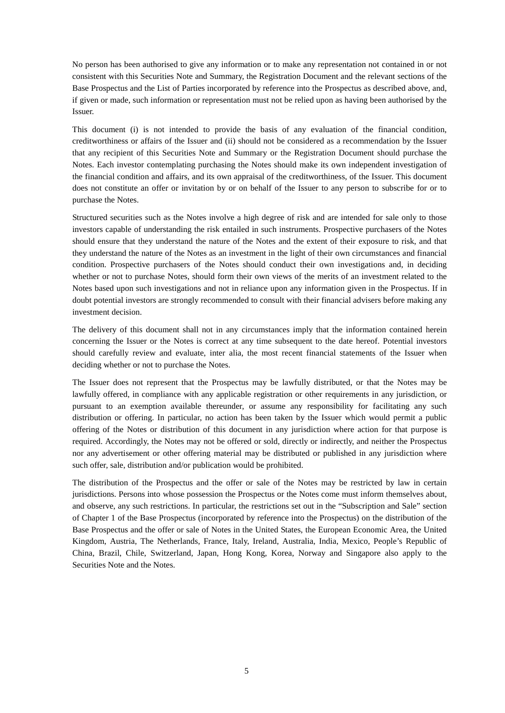No person has been authorised to give any information or to make any representation not contained in or not consistent with this Securities Note and Summary, the Registration Document and the relevant sections of the Base Prospectus and the List of Parties incorporated by reference into the Prospectus as described above, and, if given or made, such information or representation must not be relied upon as having been authorised by the Issuer.

This document (i) is not intended to provide the basis of any evaluation of the financial condition, creditworthiness or affairs of the Issuer and (ii) should not be considered as a recommendation by the Issuer that any recipient of this Securities Note and Summary or the Registration Document should purchase the Notes. Each investor contemplating purchasing the Notes should make its own independent investigation of the financial condition and affairs, and its own appraisal of the creditworthiness, of the Issuer. This document does not constitute an offer or invitation by or on behalf of the Issuer to any person to subscribe for or to purchase the Notes.

Structured securities such as the Notes involve a high degree of risk and are intended for sale only to those investors capable of understanding the risk entailed in such instruments. Prospective purchasers of the Notes should ensure that they understand the nature of the Notes and the extent of their exposure to risk, and that they understand the nature of the Notes as an investment in the light of their own circumstances and financial condition. Prospective purchasers of the Notes should conduct their own investigations and, in deciding whether or not to purchase Notes, should form their own views of the merits of an investment related to the Notes based upon such investigations and not in reliance upon any information given in the Prospectus. If in doubt potential investors are strongly recommended to consult with their financial advisers before making any investment decision.

The delivery of this document shall not in any circumstances imply that the information contained herein concerning the Issuer or the Notes is correct at any time subsequent to the date hereof. Potential investors should carefully review and evaluate, inter alia, the most recent financial statements of the Issuer when deciding whether or not to purchase the Notes.

The Issuer does not represent that the Prospectus may be lawfully distributed, or that the Notes may be lawfully offered, in compliance with any applicable registration or other requirements in any jurisdiction, or pursuant to an exemption available thereunder, or assume any responsibility for facilitating any such distribution or offering. In particular, no action has been taken by the Issuer which would permit a public offering of the Notes or distribution of this document in any jurisdiction where action for that purpose is required. Accordingly, the Notes may not be offered or sold, directly or indirectly, and neither the Prospectus nor any advertisement or other offering material may be distributed or published in any jurisdiction where such offer, sale, distribution and/or publication would be prohibited.

The distribution of the Prospectus and the offer or sale of the Notes may be restricted by law in certain jurisdictions. Persons into whose possession the Prospectus or the Notes come must inform themselves about, and observe, any such restrictions. In particular, the restrictions set out in the "Subscription and Sale" section of Chapter 1 of the Base Prospectus (incorporated by reference into the Prospectus) on the distribution of the Base Prospectus and the offer or sale of Notes in the United States, the European Economic Area, the United Kingdom, Austria, The Netherlands, France, Italy, Ireland, Australia, India, Mexico, People's Republic of China, Brazil, Chile, Switzerland, Japan, Hong Kong, Korea, Norway and Singapore also apply to the Securities Note and the Notes.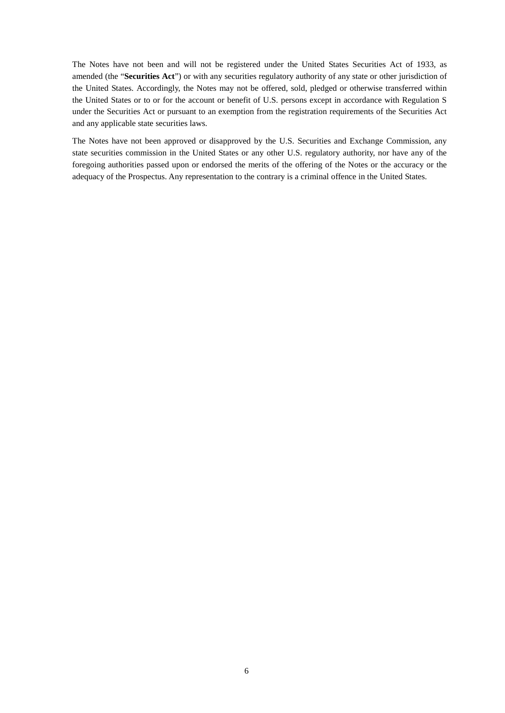The Notes have not been and will not be registered under the United States Securities Act of 1933, as amended (the "**Securities Act**") or with any securities regulatory authority of any state or other jurisdiction of the United States. Accordingly, the Notes may not be offered, sold, pledged or otherwise transferred within the United States or to or for the account or benefit of U.S. persons except in accordance with Regulation S under the Securities Act or pursuant to an exemption from the registration requirements of the Securities Act and any applicable state securities laws.

The Notes have not been approved or disapproved by the U.S. Securities and Exchange Commission, any state securities commission in the United States or any other U.S. regulatory authority, nor have any of the foregoing authorities passed upon or endorsed the merits of the offering of the Notes or the accuracy or the adequacy of the Prospectus. Any representation to the contrary is a criminal offence in the United States.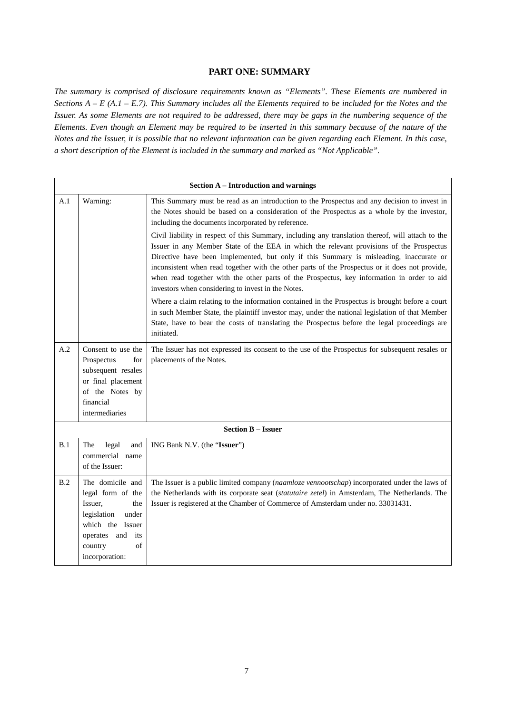# **PART ONE: SUMMARY**

*The summary is comprised of disclosure requirements known as "Elements". These Elements are numbered in Sections A – E (A.1 – E.7). This Summary includes all the Elements required to be included for the Notes and the Issuer. As some Elements are not required to be addressed, there may be gaps in the numbering sequence of the Elements. Even though an Element may be required to be inserted in this summary because of the nature of the Notes and the Issuer, it is possible that no relevant information can be given regarding each Element. In this case, a short description of the Element is included in the summary and marked as "Not Applicable".*

|     | <b>Section A - Introduction and warnings</b>                                                                                                               |                                                                                                                                                                                                                                                                                                                                                                                                                                                                                                                                               |  |  |
|-----|------------------------------------------------------------------------------------------------------------------------------------------------------------|-----------------------------------------------------------------------------------------------------------------------------------------------------------------------------------------------------------------------------------------------------------------------------------------------------------------------------------------------------------------------------------------------------------------------------------------------------------------------------------------------------------------------------------------------|--|--|
| A.1 | Warning:                                                                                                                                                   | This Summary must be read as an introduction to the Prospectus and any decision to invest in<br>the Notes should be based on a consideration of the Prospectus as a whole by the investor,<br>including the documents incorporated by reference.                                                                                                                                                                                                                                                                                              |  |  |
|     |                                                                                                                                                            | Civil liability in respect of this Summary, including any translation thereof, will attach to the<br>Issuer in any Member State of the EEA in which the relevant provisions of the Prospectus<br>Directive have been implemented, but only if this Summary is misleading, inaccurate or<br>inconsistent when read together with the other parts of the Prospectus or it does not provide,<br>when read together with the other parts of the Prospectus, key information in order to aid<br>investors when considering to invest in the Notes. |  |  |
|     |                                                                                                                                                            | Where a claim relating to the information contained in the Prospectus is brought before a court<br>in such Member State, the plaintiff investor may, under the national legislation of that Member<br>State, have to bear the costs of translating the Prospectus before the legal proceedings are<br>initiated.                                                                                                                                                                                                                              |  |  |
| A.2 | Consent to use the<br>Prospectus<br>for<br>subsequent resales<br>or final placement<br>of the Notes by<br>financial<br>intermediaries                      | The Issuer has not expressed its consent to the use of the Prospectus for subsequent resales or<br>placements of the Notes.                                                                                                                                                                                                                                                                                                                                                                                                                   |  |  |
|     |                                                                                                                                                            | <b>Section B - Issuer</b>                                                                                                                                                                                                                                                                                                                                                                                                                                                                                                                     |  |  |
| B.1 | The<br>legal<br>and<br>commercial name<br>of the Issuer:                                                                                                   | ING Bank N.V. (the "Issuer")                                                                                                                                                                                                                                                                                                                                                                                                                                                                                                                  |  |  |
| B.2 | The domicile and<br>legal form of the<br>Issuer,<br>the<br>legislation<br>under<br>which the Issuer<br>operates and its<br>country<br>of<br>incorporation: | The Issuer is a public limited company (naamloze vennootschap) incorporated under the laws of<br>the Netherlands with its corporate seat (statutaire zetel) in Amsterdam, The Netherlands. The<br>Issuer is registered at the Chamber of Commerce of Amsterdam under no. 33031431.                                                                                                                                                                                                                                                            |  |  |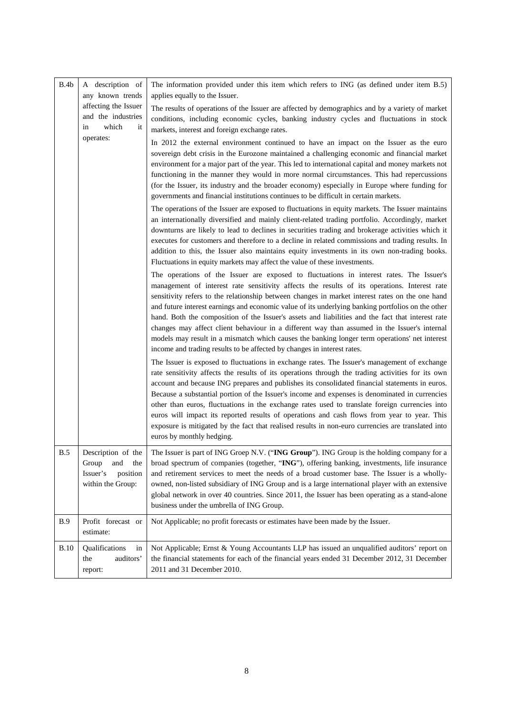| B.4b        | A description of<br>any known trends                                                   | The information provided under this item which refers to ING (as defined under item B.5)<br>applies equally to the Issuer.                                                                                                                                                                                                                                                                                                                                                                                                                                                                                                                                                                                                                                                                                                                                                                                                                                                                                                                                                                                                                                                    |
|-------------|----------------------------------------------------------------------------------------|-------------------------------------------------------------------------------------------------------------------------------------------------------------------------------------------------------------------------------------------------------------------------------------------------------------------------------------------------------------------------------------------------------------------------------------------------------------------------------------------------------------------------------------------------------------------------------------------------------------------------------------------------------------------------------------------------------------------------------------------------------------------------------------------------------------------------------------------------------------------------------------------------------------------------------------------------------------------------------------------------------------------------------------------------------------------------------------------------------------------------------------------------------------------------------|
|             | affecting the Issuer<br>and the industries<br>which<br>in<br>it                        | The results of operations of the Issuer are affected by demographics and by a variety of market<br>conditions, including economic cycles, banking industry cycles and fluctuations in stock<br>markets, interest and foreign exchange rates.                                                                                                                                                                                                                                                                                                                                                                                                                                                                                                                                                                                                                                                                                                                                                                                                                                                                                                                                  |
|             | operates:                                                                              | In 2012 the external environment continued to have an impact on the Issuer as the euro<br>sovereign debt crisis in the Eurozone maintained a challenging economic and financial market<br>environment for a major part of the year. This led to international capital and money markets not<br>functioning in the manner they would in more normal circumstances. This had repercussions<br>(for the Issuer, its industry and the broader economy) especially in Europe where funding for<br>governments and financial institutions continues to be difficult in certain markets.<br>The operations of the Issuer are exposed to fluctuations in equity markets. The Issuer maintains<br>an internationally diversified and mainly client-related trading portfolio. Accordingly, market<br>downturns are likely to lead to declines in securities trading and brokerage activities which it<br>executes for customers and therefore to a decline in related commissions and trading results. In<br>addition to this, the Issuer also maintains equity investments in its own non-trading books.<br>Fluctuations in equity markets may affect the value of these investments. |
|             |                                                                                        | The operations of the Issuer are exposed to fluctuations in interest rates. The Issuer's<br>management of interest rate sensitivity affects the results of its operations. Interest rate<br>sensitivity refers to the relationship between changes in market interest rates on the one hand<br>and future interest earnings and economic value of its underlying banking portfolios on the other<br>hand. Both the composition of the Issuer's assets and liabilities and the fact that interest rate<br>changes may affect client behaviour in a different way than assumed in the Issuer's internal<br>models may result in a mismatch which causes the banking longer term operations' net interest<br>income and trading results to be affected by changes in interest rates.                                                                                                                                                                                                                                                                                                                                                                                             |
|             |                                                                                        | The Issuer is exposed to fluctuations in exchange rates. The Issuer's management of exchange<br>rate sensitivity affects the results of its operations through the trading activities for its own<br>account and because ING prepares and publishes its consolidated financial statements in euros.<br>Because a substantial portion of the Issuer's income and expenses is denominated in currencies<br>other than euros, fluctuations in the exchange rates used to translate foreign currencies into<br>euros will impact its reported results of operations and cash flows from year to year. This<br>exposure is mitigated by the fact that realised results in non-euro currencies are translated into<br>euros by monthly hedging.                                                                                                                                                                                                                                                                                                                                                                                                                                     |
| <b>B.5</b>  | Description of the<br>Group<br>the<br>and<br>Issuer's<br>position<br>within the Group: | The Issuer is part of ING Groep N.V. ("ING Group"). ING Group is the holding company for a<br>broad spectrum of companies (together, "ING"), offering banking, investments, life insurance<br>and retirement services to meet the needs of a broad customer base. The Issuer is a wholly-<br>owned, non-listed subsidiary of ING Group and is a large international player with an extensive<br>global network in over 40 countries. Since 2011, the Issuer has been operating as a stand-alone<br>business under the umbrella of ING Group.                                                                                                                                                                                                                                                                                                                                                                                                                                                                                                                                                                                                                                  |
| B.9         | Profit forecast or<br>estimate:                                                        | Not Applicable; no profit forecasts or estimates have been made by the Issuer.                                                                                                                                                                                                                                                                                                                                                                                                                                                                                                                                                                                                                                                                                                                                                                                                                                                                                                                                                                                                                                                                                                |
| <b>B.10</b> | Qualifications<br>in<br>auditors'<br>the<br>report:                                    | Not Applicable; Ernst & Young Accountants LLP has issued an unqualified auditors' report on<br>the financial statements for each of the financial years ended 31 December 2012, 31 December<br>2011 and 31 December 2010.                                                                                                                                                                                                                                                                                                                                                                                                                                                                                                                                                                                                                                                                                                                                                                                                                                                                                                                                                     |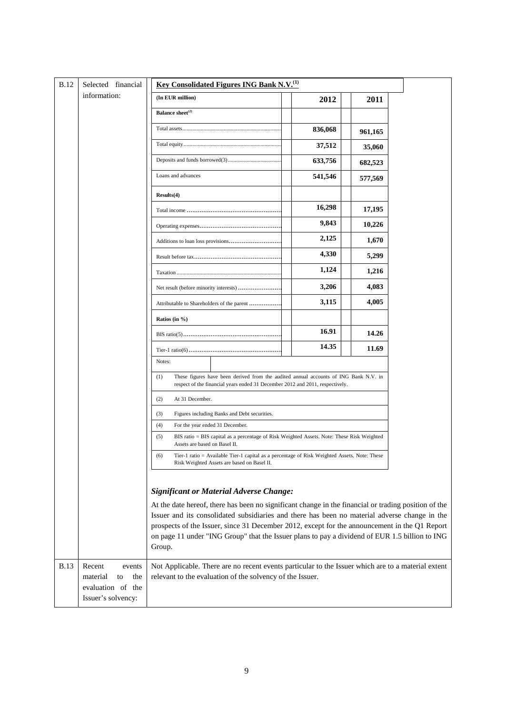| <b>B.12</b> | Selected financial                         | <b>Key Consolidated Figures ING Bank N.V.</b> <sup>(1)</sup>                                                                                                                                   |         |         |  |
|-------------|--------------------------------------------|------------------------------------------------------------------------------------------------------------------------------------------------------------------------------------------------|---------|---------|--|
|             | information:                               | (In EUR million)                                                                                                                                                                               | 2012    | 2011    |  |
|             |                                            | Balance sheet <sup>(2)</sup>                                                                                                                                                                   |         |         |  |
|             |                                            |                                                                                                                                                                                                | 836,068 | 961,165 |  |
|             |                                            |                                                                                                                                                                                                | 37,512  | 35,060  |  |
|             |                                            |                                                                                                                                                                                                | 633,756 | 682,523 |  |
|             |                                            | Loans and advances                                                                                                                                                                             | 541,546 | 577,569 |  |
|             |                                            | Results(4)                                                                                                                                                                                     |         |         |  |
|             |                                            |                                                                                                                                                                                                | 16,298  | 17,195  |  |
|             |                                            |                                                                                                                                                                                                | 9,843   | 10,226  |  |
|             |                                            |                                                                                                                                                                                                | 2,125   | 1,670   |  |
|             |                                            |                                                                                                                                                                                                | 4,330   | 5,299   |  |
|             |                                            |                                                                                                                                                                                                | 1,124   | 1,216   |  |
|             |                                            | Net result (before minority interests)                                                                                                                                                         | 3,206   | 4,083   |  |
|             |                                            | Attributable to Shareholders of the parent                                                                                                                                                     | 3,115   | 4,005   |  |
|             |                                            | Ratios (in $\%$ )                                                                                                                                                                              |         |         |  |
|             |                                            |                                                                                                                                                                                                | 16.91   | 14.26   |  |
|             |                                            |                                                                                                                                                                                                | 14.35   | 11.69   |  |
|             |                                            | Notes:                                                                                                                                                                                         |         |         |  |
|             |                                            | These figures have been derived from the audited annual accounts of ING Bank N.V. in<br>(1)<br>respect of the financial years ended 31 December 2012 and 2011, respectively.                   |         |         |  |
|             |                                            | At 31 December.<br>(2)                                                                                                                                                                         |         |         |  |
|             |                                            | Figures including Banks and Debt securities.<br>(3)                                                                                                                                            |         |         |  |
|             |                                            | (4)<br>For the year ended 31 December.                                                                                                                                                         |         |         |  |
|             |                                            | BIS ratio = BIS capital as a percentage of Risk Weighted Assets. Note: These Risk Weighted<br>(5)<br>Assets are based on Basel II.                                                             |         |         |  |
|             |                                            | Tier-1 ratio = Available Tier-1 capital as a percentage of Risk Weighted Assets. Note: These<br>(6)<br>Risk Weighted Assets are based on Basel II.                                             |         |         |  |
|             |                                            |                                                                                                                                                                                                |         |         |  |
|             |                                            | <b>Significant or Material Adverse Change:</b>                                                                                                                                                 |         |         |  |
|             |                                            | At the date hereof, there has been no significant change in the financial or trading position of the                                                                                           |         |         |  |
|             |                                            | Issuer and its consolidated subsidiaries and there has been no material adverse change in the<br>prospects of the Issuer, since 31 December 2012, except for the announcement in the Q1 Report |         |         |  |
|             |                                            | on page 11 under "ING Group" that the Issuer plans to pay a dividend of EUR 1.5 billion to ING                                                                                                 |         |         |  |
|             |                                            | Group.                                                                                                                                                                                         |         |         |  |
| <b>B.13</b> | Recent<br>events                           | Not Applicable. There are no recent events particular to the Issuer which are to a material extent                                                                                             |         |         |  |
|             | material<br>the<br>to<br>evaluation of the | relevant to the evaluation of the solvency of the Issuer.                                                                                                                                      |         |         |  |
|             | Issuer's solvency:                         |                                                                                                                                                                                                |         |         |  |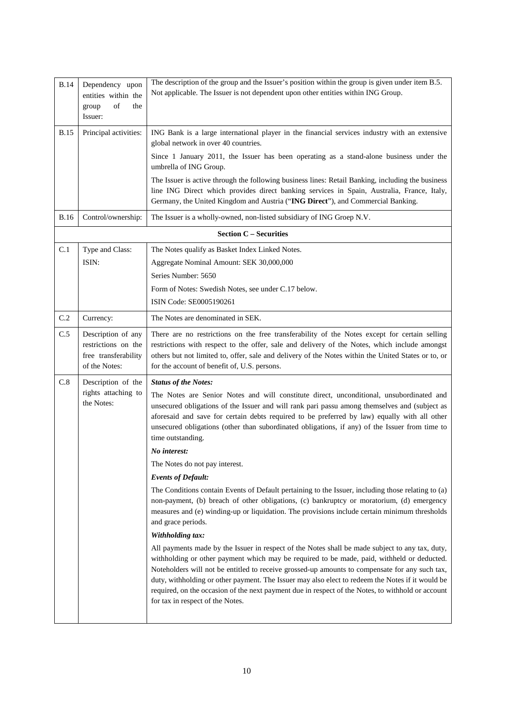| Principal activities:                                                              |                                                                                                                                                                                                                                                                                                                                                                                                                                                                                                                                              |
|------------------------------------------------------------------------------------|----------------------------------------------------------------------------------------------------------------------------------------------------------------------------------------------------------------------------------------------------------------------------------------------------------------------------------------------------------------------------------------------------------------------------------------------------------------------------------------------------------------------------------------------|
|                                                                                    | ING Bank is a large international player in the financial services industry with an extensive<br>global network in over 40 countries.                                                                                                                                                                                                                                                                                                                                                                                                        |
|                                                                                    | Since 1 January 2011, the Issuer has been operating as a stand-alone business under the<br>umbrella of ING Group.                                                                                                                                                                                                                                                                                                                                                                                                                            |
|                                                                                    | The Issuer is active through the following business lines: Retail Banking, including the business<br>line ING Direct which provides direct banking services in Spain, Australia, France, Italy,<br>Germany, the United Kingdom and Austria ("ING Direct"), and Commercial Banking.                                                                                                                                                                                                                                                           |
| Control/ownership:                                                                 | The Issuer is a wholly-owned, non-listed subsidiary of ING Groep N.V.                                                                                                                                                                                                                                                                                                                                                                                                                                                                        |
|                                                                                    | <b>Section C - Securities</b>                                                                                                                                                                                                                                                                                                                                                                                                                                                                                                                |
| Type and Class:<br>ISIN:                                                           | The Notes qualify as Basket Index Linked Notes.<br>Aggregate Nominal Amount: SEK 30,000,000<br>Series Number: 5650                                                                                                                                                                                                                                                                                                                                                                                                                           |
|                                                                                    | Form of Notes: Swedish Notes, see under C.17 below.                                                                                                                                                                                                                                                                                                                                                                                                                                                                                          |
|                                                                                    | ISIN Code: SE0005190261                                                                                                                                                                                                                                                                                                                                                                                                                                                                                                                      |
| Currency:                                                                          | The Notes are denominated in SEK.                                                                                                                                                                                                                                                                                                                                                                                                                                                                                                            |
| Description of any<br>restrictions on the<br>free transferability<br>of the Notes: | There are no restrictions on the free transferability of the Notes except for certain selling<br>restrictions with respect to the offer, sale and delivery of the Notes, which include amongst<br>others but not limited to, offer, sale and delivery of the Notes within the United States or to, or<br>for the account of benefit of, U.S. persons.                                                                                                                                                                                        |
| Description of the                                                                 | <b>Status of the Notes:</b>                                                                                                                                                                                                                                                                                                                                                                                                                                                                                                                  |
| rights attaching to<br>the Notes:                                                  | The Notes are Senior Notes and will constitute direct, unconditional, unsubordinated and<br>unsecured obligations of the Issuer and will rank pari passu among themselves and (subject as<br>aforesaid and save for certain debts required to be preferred by law) equally with all other<br>unsecured obligations (other than subordinated obligations, if any) of the Issuer from time to<br>time outstanding.                                                                                                                             |
|                                                                                    | No interest:                                                                                                                                                                                                                                                                                                                                                                                                                                                                                                                                 |
|                                                                                    | The Notes do not pay interest.                                                                                                                                                                                                                                                                                                                                                                                                                                                                                                               |
|                                                                                    | <b>Events of Default:</b>                                                                                                                                                                                                                                                                                                                                                                                                                                                                                                                    |
|                                                                                    | The Conditions contain Events of Default pertaining to the Issuer, including those relating to (a)<br>non-payment, (b) breach of other obligations, (c) bankruptcy or moratorium, (d) emergency<br>measures and (e) winding-up or liquidation. The provisions include certain minimum thresholds<br>and grace periods.                                                                                                                                                                                                                       |
|                                                                                    | Withholding tax:                                                                                                                                                                                                                                                                                                                                                                                                                                                                                                                             |
|                                                                                    | All payments made by the Issuer in respect of the Notes shall be made subject to any tax, duty,<br>withholding or other payment which may be required to be made, paid, withheld or deducted.<br>Noteholders will not be entitled to receive grossed-up amounts to compensate for any such tax,<br>duty, withholding or other payment. The Issuer may also elect to redeem the Notes if it would be<br>required, on the occasion of the next payment due in respect of the Notes, to withhold or account<br>for tax in respect of the Notes. |
|                                                                                    |                                                                                                                                                                                                                                                                                                                                                                                                                                                                                                                                              |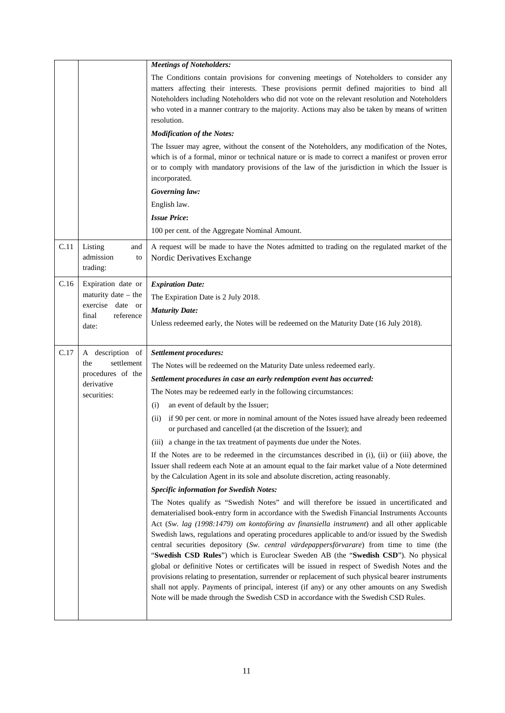| The Conditions contain provisions for convening meetings of Noteholders to consider any<br>matters affecting their interests. These provisions permit defined majorities to bind all<br>Noteholders including Noteholders who did not vote on the relevant resolution and Noteholders<br>who voted in a manner contrary to the majority. Actions may also be taken by means of written<br>The Issuer may agree, without the consent of the Noteholders, any modification of the Notes,<br>which is of a formal, minor or technical nature or is made to correct a manifest or proven error<br>or to comply with mandatory provisions of the law of the jurisdiction in which the Issuer is<br>A request will be made to have the Notes admitted to trading on the regulated market of the |
|-------------------------------------------------------------------------------------------------------------------------------------------------------------------------------------------------------------------------------------------------------------------------------------------------------------------------------------------------------------------------------------------------------------------------------------------------------------------------------------------------------------------------------------------------------------------------------------------------------------------------------------------------------------------------------------------------------------------------------------------------------------------------------------------|
|                                                                                                                                                                                                                                                                                                                                                                                                                                                                                                                                                                                                                                                                                                                                                                                           |
|                                                                                                                                                                                                                                                                                                                                                                                                                                                                                                                                                                                                                                                                                                                                                                                           |
|                                                                                                                                                                                                                                                                                                                                                                                                                                                                                                                                                                                                                                                                                                                                                                                           |
|                                                                                                                                                                                                                                                                                                                                                                                                                                                                                                                                                                                                                                                                                                                                                                                           |
|                                                                                                                                                                                                                                                                                                                                                                                                                                                                                                                                                                                                                                                                                                                                                                                           |
|                                                                                                                                                                                                                                                                                                                                                                                                                                                                                                                                                                                                                                                                                                                                                                                           |
|                                                                                                                                                                                                                                                                                                                                                                                                                                                                                                                                                                                                                                                                                                                                                                                           |
|                                                                                                                                                                                                                                                                                                                                                                                                                                                                                                                                                                                                                                                                                                                                                                                           |
|                                                                                                                                                                                                                                                                                                                                                                                                                                                                                                                                                                                                                                                                                                                                                                                           |
|                                                                                                                                                                                                                                                                                                                                                                                                                                                                                                                                                                                                                                                                                                                                                                                           |
|                                                                                                                                                                                                                                                                                                                                                                                                                                                                                                                                                                                                                                                                                                                                                                                           |
| Unless redeemed early, the Notes will be redeemed on the Maturity Date (16 July 2018).                                                                                                                                                                                                                                                                                                                                                                                                                                                                                                                                                                                                                                                                                                    |
|                                                                                                                                                                                                                                                                                                                                                                                                                                                                                                                                                                                                                                                                                                                                                                                           |
|                                                                                                                                                                                                                                                                                                                                                                                                                                                                                                                                                                                                                                                                                                                                                                                           |
|                                                                                                                                                                                                                                                                                                                                                                                                                                                                                                                                                                                                                                                                                                                                                                                           |
|                                                                                                                                                                                                                                                                                                                                                                                                                                                                                                                                                                                                                                                                                                                                                                                           |
|                                                                                                                                                                                                                                                                                                                                                                                                                                                                                                                                                                                                                                                                                                                                                                                           |
| if 90 per cent. or more in nominal amount of the Notes issued have already been redeemed                                                                                                                                                                                                                                                                                                                                                                                                                                                                                                                                                                                                                                                                                                  |
|                                                                                                                                                                                                                                                                                                                                                                                                                                                                                                                                                                                                                                                                                                                                                                                           |
| If the Notes are to be redeemed in the circumstances described in (i), (ii) or (iii) above, the<br>Issuer shall redeem each Note at an amount equal to the fair market value of a Note determined<br>by the Calculation Agent in its sole and absolute discretion, acting reasonably.                                                                                                                                                                                                                                                                                                                                                                                                                                                                                                     |
|                                                                                                                                                                                                                                                                                                                                                                                                                                                                                                                                                                                                                                                                                                                                                                                           |
| The Notes qualify as "Swedish Notes" and will therefore be issued in uncertificated and<br>dematerialised book-entry form in accordance with the Swedish Financial Instruments Accounts<br>Act (Sw. lag (1998:1479) om kontoföring av finansiella instrument) and all other applicable<br>Swedish laws, regulations and operating procedures applicable to and/or issued by the Swedish<br>central securities depository (Sw. central värdepappersförvarare) from time to time (the                                                                                                                                                                                                                                                                                                       |
|                                                                                                                                                                                                                                                                                                                                                                                                                                                                                                                                                                                                                                                                                                                                                                                           |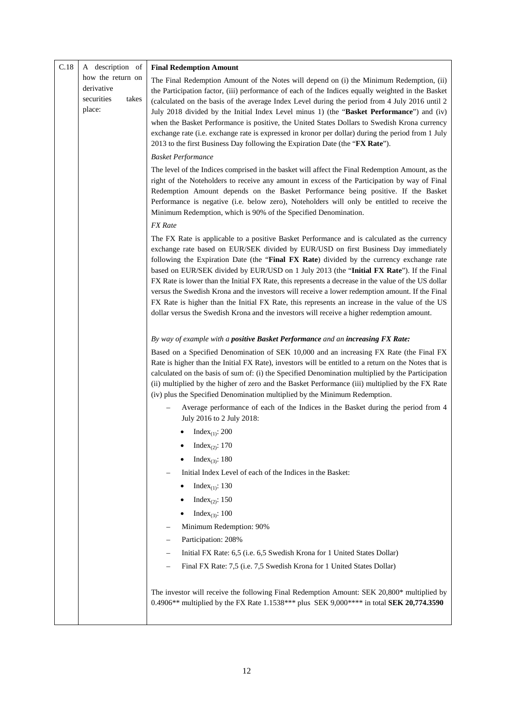| C.18 | A description of                                                 | <b>Final Redemption Amount</b>                                                                                                                                                                                                                                                                                                                                                                                                                                                                                                                                                                                                                                                                                                                                                        |
|------|------------------------------------------------------------------|---------------------------------------------------------------------------------------------------------------------------------------------------------------------------------------------------------------------------------------------------------------------------------------------------------------------------------------------------------------------------------------------------------------------------------------------------------------------------------------------------------------------------------------------------------------------------------------------------------------------------------------------------------------------------------------------------------------------------------------------------------------------------------------|
|      | how the return on<br>derivative<br>securities<br>takes<br>place: | The Final Redemption Amount of the Notes will depend on (i) the Minimum Redemption, (ii)<br>the Participation factor, (iii) performance of each of the Indices equally weighted in the Basket<br>(calculated on the basis of the average Index Level during the period from 4 July 2016 until 2<br>July 2018 divided by the Initial Index Level minus 1) (the "Basket Performance") and (iv)<br>when the Basket Performance is positive, the United States Dollars to Swedish Krona currency<br>exchange rate (i.e. exchange rate is expressed in kronor per dollar) during the period from 1 July<br>2013 to the first Business Day following the Expiration Date (the "FX Rate").                                                                                                   |
|      |                                                                  | <b>Basket Performance</b>                                                                                                                                                                                                                                                                                                                                                                                                                                                                                                                                                                                                                                                                                                                                                             |
|      |                                                                  | The level of the Indices comprised in the basket will affect the Final Redemption Amount, as the<br>right of the Noteholders to receive any amount in excess of the Participation by way of Final<br>Redemption Amount depends on the Basket Performance being positive. If the Basket<br>Performance is negative (i.e. below zero), Noteholders will only be entitled to receive the<br>Minimum Redemption, which is 90% of the Specified Denomination.<br><b>FX</b> Rate                                                                                                                                                                                                                                                                                                            |
|      |                                                                  |                                                                                                                                                                                                                                                                                                                                                                                                                                                                                                                                                                                                                                                                                                                                                                                       |
|      |                                                                  | The FX Rate is applicable to a positive Basket Performance and is calculated as the currency<br>exchange rate based on EUR/SEK divided by EUR/USD on first Business Day immediately<br>following the Expiration Date (the "Final FX Rate) divided by the currency exchange rate<br>based on EUR/SEK divided by EUR/USD on 1 July 2013 (the "Initial FX Rate"). If the Final<br>FX Rate is lower than the Initial FX Rate, this represents a decrease in the value of the US dollar<br>versus the Swedish Krona and the investors will receive a lower redemption amount. If the Final<br>FX Rate is higher than the Initial FX Rate, this represents an increase in the value of the US<br>dollar versus the Swedish Krona and the investors will receive a higher redemption amount. |
|      |                                                                  | By way of example with a positive Basket Performance and an increasing FX Rate:                                                                                                                                                                                                                                                                                                                                                                                                                                                                                                                                                                                                                                                                                                       |
|      |                                                                  | Based on a Specified Denomination of SEK 10,000 and an increasing FX Rate (the Final FX<br>Rate is higher than the Initial FX Rate), investors will be entitled to a return on the Notes that is<br>calculated on the basis of sum of: (i) the Specified Denomination multiplied by the Participation<br>(ii) multiplied by the higher of zero and the Basket Performance (iii) multiplied by the FX Rate<br>(iv) plus the Specified Denomination multiplied by the Minimum Redemption.                                                                                                                                                                                                                                                                                               |
|      |                                                                  | Average performance of each of the Indices in the Basket during the period from 4<br>July 2016 to 2 July 2018:                                                                                                                                                                                                                                                                                                                                                                                                                                                                                                                                                                                                                                                                        |
|      |                                                                  | Index <sub>(1)</sub> : 200                                                                                                                                                                                                                                                                                                                                                                                                                                                                                                                                                                                                                                                                                                                                                            |
|      |                                                                  | Index <sub>(2)</sub> : 170                                                                                                                                                                                                                                                                                                                                                                                                                                                                                                                                                                                                                                                                                                                                                            |
|      |                                                                  | Index <sub>(3)</sub> : 180                                                                                                                                                                                                                                                                                                                                                                                                                                                                                                                                                                                                                                                                                                                                                            |
|      |                                                                  | Initial Index Level of each of the Indices in the Basket:                                                                                                                                                                                                                                                                                                                                                                                                                                                                                                                                                                                                                                                                                                                             |
|      |                                                                  | Index <sub>(1)</sub> : 130                                                                                                                                                                                                                                                                                                                                                                                                                                                                                                                                                                                                                                                                                                                                                            |
|      |                                                                  | Index <sub>(2)</sub> : 150                                                                                                                                                                                                                                                                                                                                                                                                                                                                                                                                                                                                                                                                                                                                                            |
|      |                                                                  | Index <sub>(3)</sub> : 100                                                                                                                                                                                                                                                                                                                                                                                                                                                                                                                                                                                                                                                                                                                                                            |
|      |                                                                  | Minimum Redemption: 90%                                                                                                                                                                                                                                                                                                                                                                                                                                                                                                                                                                                                                                                                                                                                                               |
|      |                                                                  | Participation: 208%                                                                                                                                                                                                                                                                                                                                                                                                                                                                                                                                                                                                                                                                                                                                                                   |
|      |                                                                  | Initial FX Rate: 6,5 (i.e. 6,5 Swedish Krona for 1 United States Dollar)                                                                                                                                                                                                                                                                                                                                                                                                                                                                                                                                                                                                                                                                                                              |
|      |                                                                  | Final FX Rate: 7,5 (i.e. 7,5 Swedish Krona for 1 United States Dollar)                                                                                                                                                                                                                                                                                                                                                                                                                                                                                                                                                                                                                                                                                                                |
|      |                                                                  | The investor will receive the following Final Redemption Amount: SEK 20,800* multiplied by<br>0.4906** multiplied by the FX Rate 1.1538*** plus SEK 9,000**** in total SEK 20,774.3590                                                                                                                                                                                                                                                                                                                                                                                                                                                                                                                                                                                                |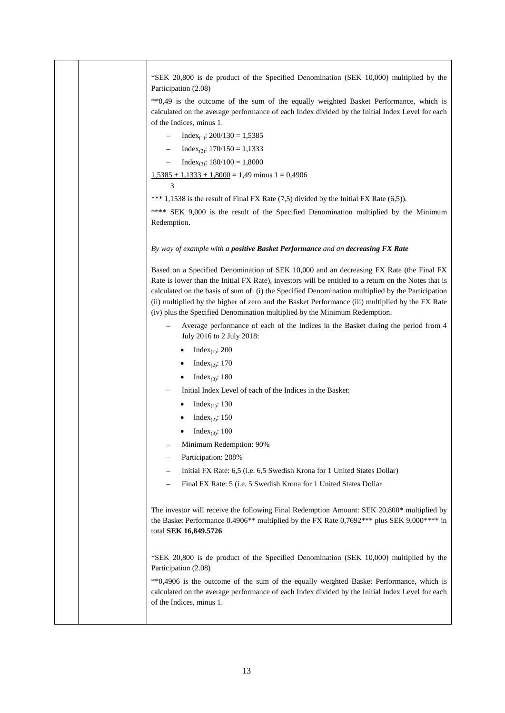\*SEK 20,800 is de product of the Specified Denomination (SEK 10,000) multiplied by the Participation (2.08) \*\*0,49 is the outcome of the sum of the equally weighted Basket Performance, which is calculated on the average performance of each Index divided by the Initial Index Level for each of the Indices, minus 1.  $Index_{(1)}$ : 200/130 = 1,5385  $Index_{(2)}$ : 170/150 = 1,1333  $Index_{(3)}$ : 180/100 = 1,8000  $1,5385 + 1,1333 + 1,8000 = 1,49$  minus  $1 = 0,4906$  3 \*\*\* 1,1538 is the result of Final FX Rate (7,5) divided by the Initial FX Rate (6,5)). \*\*\*\* SEK 9,000 is the result of the Specified Denomination multiplied by the Minimum Redemption. *By way of example with a positive Basket Performance and an decreasing FX Rate* Based on a Specified Denomination of SEK 10,000 and an decreasing FX Rate (the Final FX Rate is lower than the Initial FX Rate), investors will be entitled to a return on the Notes that is calculated on the basis of sum of: (i) the Specified Denomination multiplied by the Participation (ii) multiplied by the higher of zero and the Basket Performance (iii) multiplied by the FX Rate (iv) plus the Specified Denomination multiplied by the Minimum Redemption. – Average performance of each of the Indices in the Basket during the period from 4 July 2016 to 2 July 2018:  $\bullet$  Index<sub>(1)</sub>: 200 Index<sub>(2)</sub>: 170  $\bullet$  Index<sub>(3)</sub>: 180 – Initial Index Level of each of the Indices in the Basket:  $\bullet$  Index<sub>(1)</sub>: 130 Index<sub>(2)</sub>: 150 Index<sub>(3)</sub>: 100 – Minimum Redemption: 90% – Participation: 208% – Initial FX Rate: 6,5 (i.e. 6,5 Swedish Krona for 1 United States Dollar) – Final FX Rate: 5 (i.e. 5 Swedish Krona for 1 United States Dollar The investor will receive the following Final Redemption Amount: SEK 20,800\* multiplied by the Basket Performance 0.4906\*\* multiplied by the FX Rate 0,7692\*\*\* plus SEK 9,000\*\*\*\* in total **SEK 16,849.5726** \*SEK 20,800 is de product of the Specified Denomination (SEK 10,000) multiplied by the Participation (2.08) \*\*0,4906 is the outcome of the sum of the equally weighted Basket Performance, which is calculated on the average performance of each Index divided by the Initial Index Level for each of the Indices, minus 1.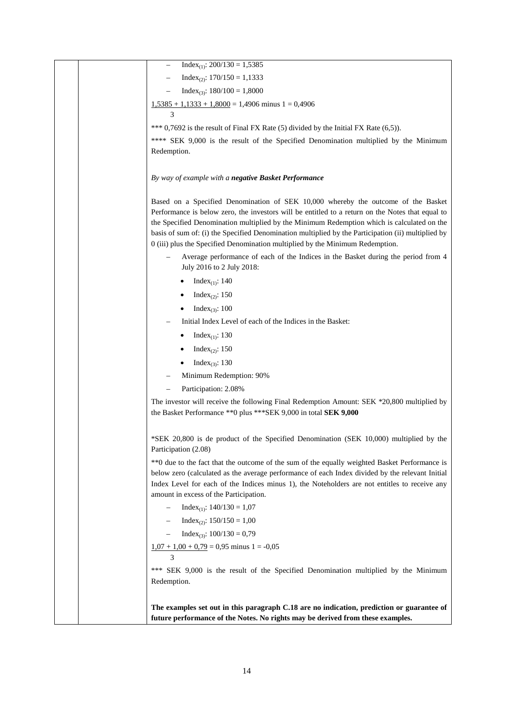| $Index_{(1)}$ : 200/130 = 1,5385                                                                               |
|----------------------------------------------------------------------------------------------------------------|
| $Index_{(2)}$ : 170/150 = 1,1333                                                                               |
| $Index_{(3)}$ : 180/100 = 1,8000                                                                               |
| $1,5385 + 1,1333 + 1,8000 = 1,4906$ minus $1 = 0,4906$                                                         |
| 3                                                                                                              |
| *** $0,7692$ is the result of Final FX Rate (5) divided by the Initial FX Rate (6,5)).                         |
| **** SEK 9,000 is the result of the Specified Denomination multiplied by the Minimum                           |
| Redemption.                                                                                                    |
|                                                                                                                |
| By way of example with a negative Basket Performance                                                           |
| Based on a Specified Denomination of SEK 10,000 whereby the outcome of the Basket                              |
| Performance is below zero, the investors will be entitled to a return on the Notes that equal to               |
| the Specified Denomination multiplied by the Minimum Redemption which is calculated on the                     |
| basis of sum of: (i) the Specified Denomination multiplied by the Participation (ii) multiplied by             |
| 0 (iii) plus the Specified Denomination multiplied by the Minimum Redemption.                                  |
| Average performance of each of the Indices in the Basket during the period from 4<br>July 2016 to 2 July 2018: |
| Index <sub>(1)</sub> : 140                                                                                     |
| Index <sub>(2)</sub> : 150                                                                                     |
| Index <sub>(3)</sub> : 100                                                                                     |
| Initial Index Level of each of the Indices in the Basket:                                                      |
| Index <sub>(1)</sub> : 130                                                                                     |
| Index <sub>(2)</sub> : 150                                                                                     |
| Index <sub>(3)</sub> : 130                                                                                     |
| Minimum Redemption: 90%                                                                                        |
| Participation: 2.08%                                                                                           |
| The investor will receive the following Final Redemption Amount: SEK *20,800 multiplied by                     |
| the Basket Performance ** 0 plus *** SEK 9,000 in total SEK 9,000                                              |
|                                                                                                                |
| *SEK 20,800 is de product of the Specified Denomination (SEK 10,000) multiplied by the<br>Participation (2.08) |
| ** 0 due to the fact that the outcome of the sum of the equally weighted Basket Performance is                 |
| below zero (calculated as the average performance of each Index divided by the relevant Initial                |
| Index Level for each of the Indices minus 1), the Noteholders are not entitles to receive any                  |
| amount in excess of the Participation.                                                                         |
| Index <sub>(1)</sub> : $140/130 = 1,07$                                                                        |
| $Index_{(2)}$ : 150/150 = 1,00                                                                                 |
| $Index_{(3)}$ : $100/130 = 0,79$<br>$\qquad \qquad -$                                                          |
| $1,07 + 1,00 + 0,79 = 0,95$ minus 1 = -0,05<br>3                                                               |
| *** SEK 9,000 is the result of the Specified Denomination multiplied by the Minimum                            |
| Redemption.                                                                                                    |
|                                                                                                                |
| The examples set out in this paragraph C.18 are no indication, prediction or guarantee of                      |
| future performance of the Notes. No rights may be derived from these examples.                                 |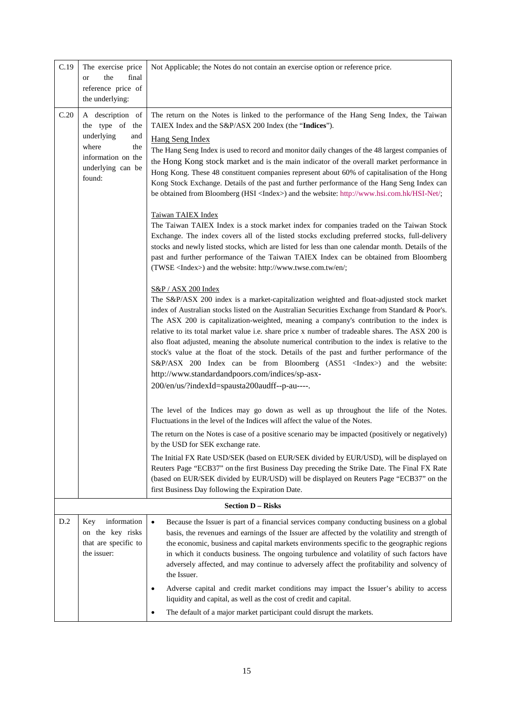| C.19 | The exercise price                    | Not Applicable; the Notes do not contain an exercise option or reference price.                                                                                                                  |
|------|---------------------------------------|--------------------------------------------------------------------------------------------------------------------------------------------------------------------------------------------------|
|      | the<br>final<br>or                    |                                                                                                                                                                                                  |
|      | reference price of<br>the underlying: |                                                                                                                                                                                                  |
| C.20 | A description of<br>the type of the   | The return on the Notes is linked to the performance of the Hang Seng Index, the Taiwan<br>TAIEX Index and the S&P/ASX 200 Index (the "Indices").                                                |
|      | underlying<br>and                     |                                                                                                                                                                                                  |
|      | where<br>the                          | <b>Hang Seng Index</b><br>The Hang Seng Index is used to record and monitor daily changes of the 48 largest companies of                                                                         |
|      | information on the                    | the Hong Kong stock market and is the main indicator of the overall market performance in                                                                                                        |
|      | underlying can be<br>found:           | Hong Kong. These 48 constituent companies represent about 60% of capitalisation of the Hong                                                                                                      |
|      |                                       | Kong Stock Exchange. Details of the past and further performance of the Hang Seng Index can<br>be obtained from Bloomberg (HSI <index>) and the website: http://www.hsi.com.hk/HSI-Net/;</index> |
|      |                                       | Taiwan TAIEX Index                                                                                                                                                                               |
|      |                                       | The Taiwan TAIEX Index is a stock market index for companies traded on the Taiwan Stock<br>Exchange. The index covers all of the listed stocks excluding preferred stocks, full-delivery         |
|      |                                       | stocks and newly listed stocks, which are listed for less than one calendar month. Details of the<br>past and further performance of the Taiwan TAIEX Index can be obtained from Bloomberg       |
|      |                                       | (TWSE <index>) and the website: http://www.twse.com.tw/en/;</index>                                                                                                                              |
|      |                                       | S&P / ASX 200 Index                                                                                                                                                                              |
|      |                                       | The S&P/ASX 200 index is a market-capitalization weighted and float-adjusted stock market<br>index of Australian stocks listed on the Australian Securities Exchange from Standard & Poor's.     |
|      |                                       | The ASX 200 is capitalization-weighted, meaning a company's contribution to the index is                                                                                                         |
|      |                                       | relative to its total market value i.e. share price x number of tradeable shares. The ASX 200 is                                                                                                 |
|      |                                       | also float adjusted, meaning the absolute numerical contribution to the index is relative to the<br>stock's value at the float of the stock. Details of the past and further performance of the  |
|      |                                       | S&P/ASX 200 Index can be from Bloomberg (AS51 <index>) and the website:</index>                                                                                                                  |
|      |                                       | http://www.standardandpoors.com/indices/sp-asx-                                                                                                                                                  |
|      |                                       | 200/en/us/?indexId=spausta200audff--p-au----.                                                                                                                                                    |
|      |                                       | The level of the Indices may go down as well as up throughout the life of the Notes.<br>Fluctuations in the level of the Indices will affect the value of the Notes.                             |
|      |                                       | The return on the Notes is case of a positive scenario may be impacted (positively or negatively)<br>by the USD for SEK exchange rate.                                                           |
|      |                                       | The Initial FX Rate USD/SEK (based on EUR/SEK divided by EUR/USD), will be displayed on                                                                                                          |
|      |                                       | Reuters Page "ECB37" on the first Business Day preceding the Strike Date. The Final FX Rate<br>(based on EUR/SEK divided by EUR/USD) will be displayed on Reuters Page "ECB37" on the            |
|      |                                       | first Business Day following the Expiration Date.                                                                                                                                                |
|      |                                       | <b>Section D - Risks</b>                                                                                                                                                                         |
| D.2  | information<br>Key                    | Because the Issuer is part of a financial services company conducting business on a global<br>$\bullet$                                                                                          |
|      | on the key risks                      | basis, the revenues and earnings of the Issuer are affected by the volatility and strength of                                                                                                    |
|      | that are specific to<br>the issuer:   | the economic, business and capital markets environments specific to the geographic regions<br>in which it conducts business. The ongoing turbulence and volatility of such factors have          |
|      |                                       | adversely affected, and may continue to adversely affect the profitability and solvency of<br>the Issuer.                                                                                        |
|      |                                       | Adverse capital and credit market conditions may impact the Issuer's ability to access<br>liquidity and capital, as well as the cost of credit and capital.                                      |
|      |                                       | The default of a major market participant could disrupt the markets.                                                                                                                             |
|      |                                       |                                                                                                                                                                                                  |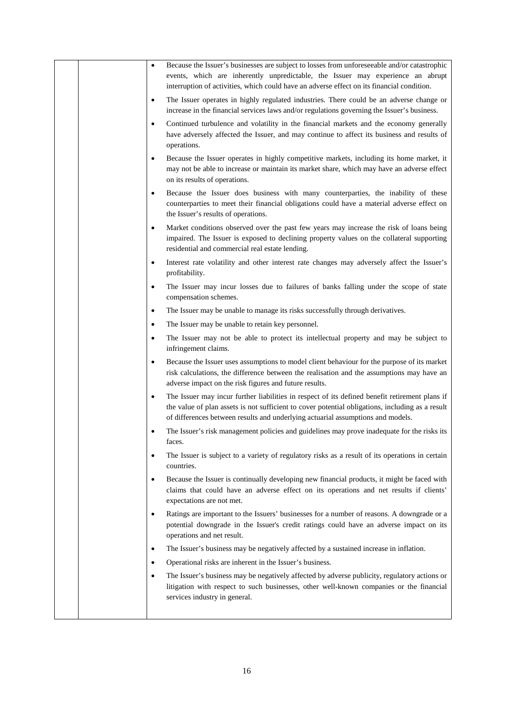|  | $\bullet$ | Because the Issuer's businesses are subject to losses from unforeseeable and/or catastrophic<br>events, which are inherently unpredictable, the Issuer may experience an abrupt<br>interruption of activities, which could have an adverse effect on its financial condition.         |
|--|-----------|---------------------------------------------------------------------------------------------------------------------------------------------------------------------------------------------------------------------------------------------------------------------------------------|
|  | $\bullet$ | The Issuer operates in highly regulated industries. There could be an adverse change or<br>increase in the financial services laws and/or regulations governing the Issuer's business.                                                                                                |
|  | $\bullet$ | Continued turbulence and volatility in the financial markets and the economy generally<br>have adversely affected the Issuer, and may continue to affect its business and results of<br>operations.                                                                                   |
|  | $\bullet$ | Because the Issuer operates in highly competitive markets, including its home market, it<br>may not be able to increase or maintain its market share, which may have an adverse effect<br>on its results of operations.                                                               |
|  | $\bullet$ | Because the Issuer does business with many counterparties, the inability of these<br>counterparties to meet their financial obligations could have a material adverse effect on<br>the Issuer's results of operations.                                                                |
|  | $\bullet$ | Market conditions observed over the past few years may increase the risk of loans being<br>impaired. The Issuer is exposed to declining property values on the collateral supporting<br>residential and commercial real estate lending.                                               |
|  | $\bullet$ | Interest rate volatility and other interest rate changes may adversely affect the Issuer's<br>profitability.                                                                                                                                                                          |
|  | $\bullet$ | The Issuer may incur losses due to failures of banks falling under the scope of state<br>compensation schemes.                                                                                                                                                                        |
|  | $\bullet$ | The Issuer may be unable to manage its risks successfully through derivatives.                                                                                                                                                                                                        |
|  | $\bullet$ | The Issuer may be unable to retain key personnel.                                                                                                                                                                                                                                     |
|  | $\bullet$ | The Issuer may not be able to protect its intellectual property and may be subject to<br>infringement claims.                                                                                                                                                                         |
|  | $\bullet$ | Because the Issuer uses assumptions to model client behaviour for the purpose of its market<br>risk calculations, the difference between the realisation and the assumptions may have an<br>adverse impact on the risk figures and future results.                                    |
|  | $\bullet$ | The Issuer may incur further liabilities in respect of its defined benefit retirement plans if<br>the value of plan assets is not sufficient to cover potential obligations, including as a result<br>of differences between results and underlying actuarial assumptions and models. |
|  | $\bullet$ | The Issuer's risk management policies and guidelines may prove inadequate for the risks its<br>faces.                                                                                                                                                                                 |
|  | $\bullet$ | The Issuer is subject to a variety of regulatory risks as a result of its operations in certain<br>countries.                                                                                                                                                                         |
|  | $\bullet$ | Because the Issuer is continually developing new financial products, it might be faced with<br>claims that could have an adverse effect on its operations and net results if clients'<br>expectations are not met.                                                                    |
|  | $\bullet$ | Ratings are important to the Issuers' businesses for a number of reasons. A downgrade or a<br>potential downgrade in the Issuer's credit ratings could have an adverse impact on its<br>operations and net result.                                                                    |
|  | $\bullet$ | The Issuer's business may be negatively affected by a sustained increase in inflation.                                                                                                                                                                                                |
|  | $\bullet$ | Operational risks are inherent in the Issuer's business.                                                                                                                                                                                                                              |
|  | $\bullet$ | The Issuer's business may be negatively affected by adverse publicity, regulatory actions or<br>litigation with respect to such businesses, other well-known companies or the financial<br>services industry in general.                                                              |
|  |           |                                                                                                                                                                                                                                                                                       |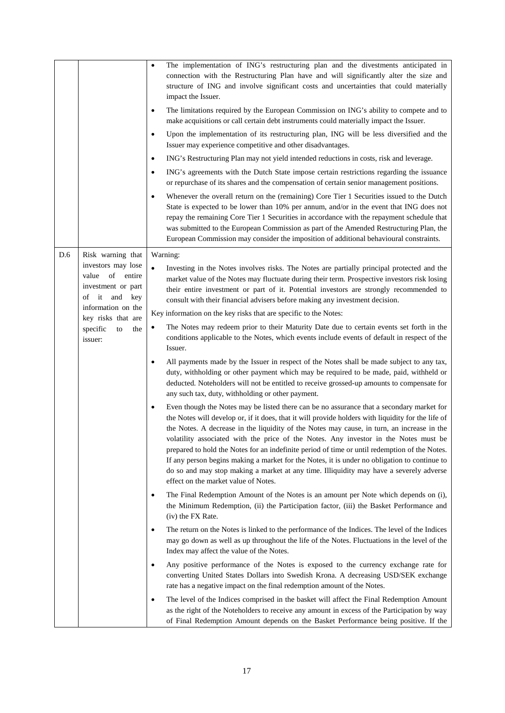|     |                                                                              | The implementation of ING's restructuring plan and the divestments anticipated in<br>$\bullet$<br>connection with the Restructuring Plan have and will significantly alter the size and<br>structure of ING and involve significant costs and uncertainties that could materially<br>impact the Issuer.<br>The limitations required by the European Commission on ING's ability to compete and to<br>٠<br>make acquisitions or call certain debt instruments could materially impact the Issuer.<br>Upon the implementation of its restructuring plan, ING will be less diversified and the<br>$\bullet$<br>Issuer may experience competitive and other disadvantages.<br>ING's Restructuring Plan may not yield intended reductions in costs, risk and leverage.<br>$\bullet$<br>ING's agreements with the Dutch State impose certain restrictions regarding the issuance<br>٠<br>or repurchase of its shares and the compensation of certain senior management positions.<br>Whenever the overall return on the (remaining) Core Tier 1 Securities issued to the Dutch<br>State is expected to be lower than 10% per annum, and/or in the event that ING does not<br>repay the remaining Core Tier 1 Securities in accordance with the repayment schedule that<br>was submitted to the European Commission as part of the Amended Restructuring Plan, the<br>European Commission may consider the imposition of additional behavioural constraints. |
|-----|------------------------------------------------------------------------------|-------------------------------------------------------------------------------------------------------------------------------------------------------------------------------------------------------------------------------------------------------------------------------------------------------------------------------------------------------------------------------------------------------------------------------------------------------------------------------------------------------------------------------------------------------------------------------------------------------------------------------------------------------------------------------------------------------------------------------------------------------------------------------------------------------------------------------------------------------------------------------------------------------------------------------------------------------------------------------------------------------------------------------------------------------------------------------------------------------------------------------------------------------------------------------------------------------------------------------------------------------------------------------------------------------------------------------------------------------------------------------------------------------------------------------------------------------|
| D.6 | Risk warning that                                                            | Warning:                                                                                                                                                                                                                                                                                                                                                                                                                                                                                                                                                                                                                                                                                                                                                                                                                                                                                                                                                                                                                                                                                                                                                                                                                                                                                                                                                                                                                                              |
|     | investors may lose<br>value of entire<br>investment or part<br>of it and key | Investing in the Notes involves risks. The Notes are partially principal protected and the<br>market value of the Notes may fluctuate during their term. Prospective investors risk losing<br>their entire investment or part of it. Potential investors are strongly recommended to<br>consult with their financial advisers before making any investment decision.                                                                                                                                                                                                                                                                                                                                                                                                                                                                                                                                                                                                                                                                                                                                                                                                                                                                                                                                                                                                                                                                                  |
|     | information on the<br>key risks that are                                     | Key information on the key risks that are specific to the Notes:                                                                                                                                                                                                                                                                                                                                                                                                                                                                                                                                                                                                                                                                                                                                                                                                                                                                                                                                                                                                                                                                                                                                                                                                                                                                                                                                                                                      |
|     | specific<br>the<br>to<br>issuer:                                             | The Notes may redeem prior to their Maturity Date due to certain events set forth in the<br>$\bullet$<br>conditions applicable to the Notes, which events include events of default in respect of the<br>Issuer.                                                                                                                                                                                                                                                                                                                                                                                                                                                                                                                                                                                                                                                                                                                                                                                                                                                                                                                                                                                                                                                                                                                                                                                                                                      |
|     |                                                                              | All payments made by the Issuer in respect of the Notes shall be made subject to any tax,<br>duty, withholding or other payment which may be required to be made, paid, withheld or<br>deducted. Noteholders will not be entitled to receive grossed-up amounts to compensate for<br>any such tax, duty, withholding or other payment.                                                                                                                                                                                                                                                                                                                                                                                                                                                                                                                                                                                                                                                                                                                                                                                                                                                                                                                                                                                                                                                                                                                |
|     |                                                                              | Even though the Notes may be listed there can be no assurance that a secondary market for<br>$\bullet$<br>the Notes will develop or, if it does, that it will provide holders with liquidity for the life of<br>the Notes. A decrease in the liquidity of the Notes may cause, in turn, an increase in the<br>volatility associated with the price of the Notes. Any investor in the Notes must be<br>prepared to hold the Notes for an indefinite period of time or until redemption of the Notes.<br>If any person begins making a market for the Notes, it is under no obligation to continue to<br>do so and may stop making a market at any time. Illiquidity may have a severely adverse<br>effect on the market value of Notes.                                                                                                                                                                                                                                                                                                                                                                                                                                                                                                                                                                                                                                                                                                                |
|     |                                                                              | The Final Redemption Amount of the Notes is an amount per Note which depends on (i),<br>٠<br>the Minimum Redemption, (ii) the Participation factor, (iii) the Basket Performance and<br>(iv) the FX Rate.                                                                                                                                                                                                                                                                                                                                                                                                                                                                                                                                                                                                                                                                                                                                                                                                                                                                                                                                                                                                                                                                                                                                                                                                                                             |
|     |                                                                              | The return on the Notes is linked to the performance of the Indices. The level of the Indices<br>$\bullet$<br>may go down as well as up throughout the life of the Notes. Fluctuations in the level of the<br>Index may affect the value of the Notes.                                                                                                                                                                                                                                                                                                                                                                                                                                                                                                                                                                                                                                                                                                                                                                                                                                                                                                                                                                                                                                                                                                                                                                                                |
|     |                                                                              | Any positive performance of the Notes is exposed to the currency exchange rate for<br>$\bullet$<br>converting United States Dollars into Swedish Krona. A decreasing USD/SEK exchange<br>rate has a negative impact on the final redemption amount of the Notes.                                                                                                                                                                                                                                                                                                                                                                                                                                                                                                                                                                                                                                                                                                                                                                                                                                                                                                                                                                                                                                                                                                                                                                                      |
|     |                                                                              | The level of the Indices comprised in the basket will affect the Final Redemption Amount<br>$\bullet$<br>as the right of the Noteholders to receive any amount in excess of the Participation by way<br>of Final Redemption Amount depends on the Basket Performance being positive. If the                                                                                                                                                                                                                                                                                                                                                                                                                                                                                                                                                                                                                                                                                                                                                                                                                                                                                                                                                                                                                                                                                                                                                           |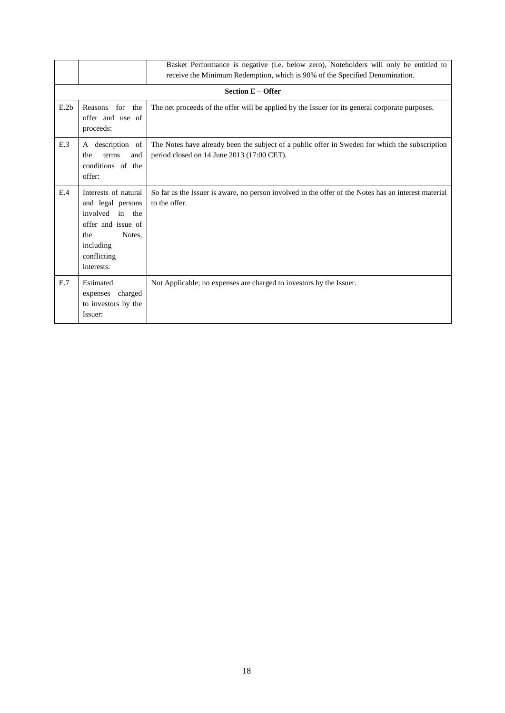|      |                                                                                                                                               | Basket Performance is negative (i.e. below zero), Noteholders will only be entitled to<br>receive the Minimum Redemption, which is 90% of the Specified Denomination. |
|------|-----------------------------------------------------------------------------------------------------------------------------------------------|-----------------------------------------------------------------------------------------------------------------------------------------------------------------------|
|      |                                                                                                                                               | <b>Section E - Offer</b>                                                                                                                                              |
| E.2b | Reasons<br>for the<br>offer and use of<br>proceeds:                                                                                           | The net proceeds of the offer will be applied by the Issuer for its general corporate purposes.                                                                       |
| E.3  | description of<br>A<br>terms<br>and<br>the<br>conditions of the<br>offer:                                                                     | The Notes have already been the subject of a public offer in Sweden for which the subscription<br>period closed on 14 June 2013 (17:00 CET).                          |
| E.4  | Interests of natural<br>and legal persons<br>involved in the<br>offer and issue of<br>Notes.<br>the<br>including<br>conflicting<br>interests: | So far as the Issuer is aware, no person involved in the offer of the Notes has an interest material<br>to the offer.                                                 |
| E.7  | Estimated<br>charged<br>expenses<br>to investors by the<br>Issuer:                                                                            | Not Applicable; no expenses are charged to investors by the Issuer.                                                                                                   |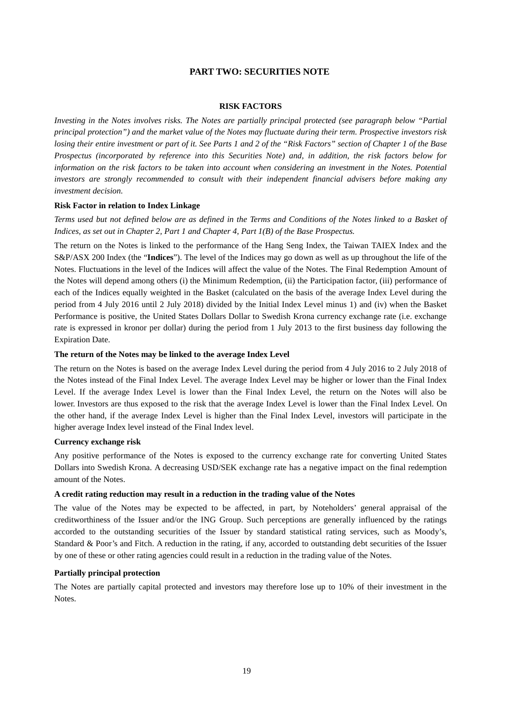# **PART TWO: SECURITIES NOTE**

#### **RISK FACTORS**

*Investing in the Notes involves risks. The Notes are partially principal protected (see paragraph below "Partial principal protection") and the market value of the Notes may fluctuate during their term. Prospective investors risk losing their entire investment or part of it. See Parts 1 and 2 of the "Risk Factors" section of Chapter 1 of the Base Prospectus (incorporated by reference into this Securities Note) and, in addition, the risk factors below for information on the risk factors to be taken into account when considering an investment in the Notes. Potential investors are strongly recommended to consult with their independent financial advisers before making any investment decision.*

#### **Risk Factor in relation to Index Linkage**

# *Terms used but not defined below are as defined in the Terms and Conditions of the Notes linked to a Basket of Indices, as set out in Chapter 2, Part 1 and Chapter 4, Part 1(B) of the Base Prospectus.*

The return on the Notes is linked to the performance of the Hang Seng Index, the Taiwan TAIEX Index and the S&P/ASX 200 Index (the "**Indices**"). The level of the Indices may go down as well as up throughout the life of the Notes. Fluctuations in the level of the Indices will affect the value of the Notes. The Final Redemption Amount of the Notes will depend among others (i) the Minimum Redemption, (ii) the Participation factor, (iii) performance of each of the Indices equally weighted in the Basket (calculated on the basis of the average Index Level during the period from 4 July 2016 until 2 July 2018) divided by the Initial Index Level minus 1) and (iv) when the Basket Performance is positive, the United States Dollars Dollar to Swedish Krona currency exchange rate (i.e. exchange rate is expressed in kronor per dollar) during the period from 1 July 2013 to the first business day following the Expiration Date.

#### **The return of the Notes may be linked to the average Index Level**

The return on the Notes is based on the average Index Level during the period from 4 July 2016 to 2 July 2018 of the Notes instead of the Final Index Level. The average Index Level may be higher or lower than the Final Index Level. If the average Index Level is lower than the Final Index Level, the return on the Notes will also be lower. Investors are thus exposed to the risk that the average Index Level is lower than the Final Index Level. On the other hand, if the average Index Level is higher than the Final Index Level, investors will participate in the higher average Index level instead of the Final Index level.

#### **Currency exchange risk**

Any positive performance of the Notes is exposed to the currency exchange rate for converting United States Dollars into Swedish Krona. A decreasing USD/SEK exchange rate has a negative impact on the final redemption amount of the Notes.

#### **A credit rating reduction may result in a reduction in the trading value of the Notes**

The value of the Notes may be expected to be affected, in part, by Noteholders' general appraisal of the creditworthiness of the Issuer and/or the ING Group. Such perceptions are generally influenced by the ratings accorded to the outstanding securities of the Issuer by standard statistical rating services, such as Moody's, Standard & Poor's and Fitch. A reduction in the rating, if any, accorded to outstanding debt securities of the Issuer by one of these or other rating agencies could result in a reduction in the trading value of the Notes.

## **Partially principal protection**

The Notes are partially capital protected and investors may therefore lose up to 10% of their investment in the Notes.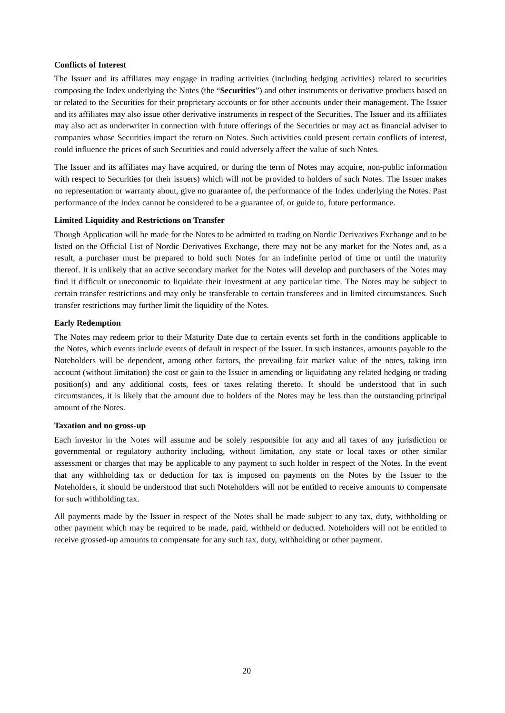#### **Conflicts of Interest**

The Issuer and its affiliates may engage in trading activities (including hedging activities) related to securities composing the Index underlying the Notes (the "**Securities**") and other instruments or derivative products based on or related to the Securities for their proprietary accounts or for other accounts under their management. The Issuer and its affiliates may also issue other derivative instruments in respect of the Securities. The Issuer and its affiliates may also act as underwriter in connection with future offerings of the Securities or may act as financial adviser to companies whose Securities impact the return on Notes. Such activities could present certain conflicts of interest, could influence the prices of such Securities and could adversely affect the value of such Notes.

The Issuer and its affiliates may have acquired, or during the term of Notes may acquire, non-public information with respect to Securities (or their issuers) which will not be provided to holders of such Notes. The Issuer makes no representation or warranty about, give no guarantee of, the performance of the Index underlying the Notes. Past performance of the Index cannot be considered to be a guarantee of, or guide to, future performance.

#### **Limited Liquidity and Restrictions on Transfer**

Though Application will be made for the Notes to be admitted to trading on Nordic Derivatives Exchange and to be listed on the Official List of Nordic Derivatives Exchange, there may not be any market for the Notes and, as a result, a purchaser must be prepared to hold such Notes for an indefinite period of time or until the maturity thereof. It is unlikely that an active secondary market for the Notes will develop and purchasers of the Notes may find it difficult or uneconomic to liquidate their investment at any particular time. The Notes may be subject to certain transfer restrictions and may only be transferable to certain transferees and in limited circumstances. Such transfer restrictions may further limit the liquidity of the Notes.

#### **Early Redemption**

The Notes may redeem prior to their Maturity Date due to certain events set forth in the conditions applicable to the Notes, which events include events of default in respect of the Issuer. In such instances, amounts payable to the Noteholders will be dependent, among other factors, the prevailing fair market value of the notes, taking into account (without limitation) the cost or gain to the Issuer in amending or liquidating any related hedging or trading position(s) and any additional costs, fees or taxes relating thereto. It should be understood that in such circumstances, it is likely that the amount due to holders of the Notes may be less than the outstanding principal amount of the Notes.

#### **Taxation and no gross-up**

Each investor in the Notes will assume and be solely responsible for any and all taxes of any jurisdiction or governmental or regulatory authority including, without limitation, any state or local taxes or other similar assessment or charges that may be applicable to any payment to such holder in respect of the Notes. In the event that any withholding tax or deduction for tax is imposed on payments on the Notes by the Issuer to the Noteholders, it should be understood that such Noteholders will not be entitled to receive amounts to compensate for such withholding tax.

All payments made by the Issuer in respect of the Notes shall be made subject to any tax, duty, withholding or other payment which may be required to be made, paid, withheld or deducted. Noteholders will not be entitled to receive grossed-up amounts to compensate for any such tax, duty, withholding or other payment.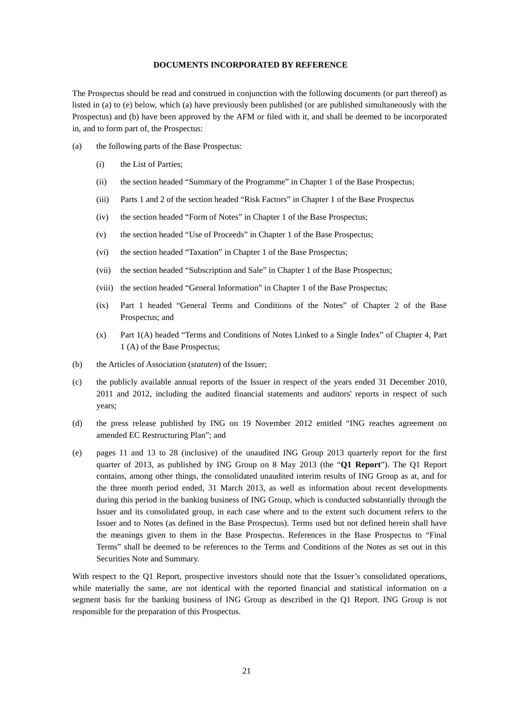#### **DOCUMENTS INCORPORATED BY REFERENCE**

The Prospectus should be read and construed in conjunction with the following documents (or part thereof) as listed in (a) to (e) below, which (a) have previously been published (or are published simultaneously with the Prospectus) and (b) have been approved by the AFM or filed with it, and shall be deemed to be incorporated in, and to form part of, the Prospectus:

- (a) the following parts of the Base Prospectus:
	- (i) the List of Parties;
	- (ii) the section headed "Summary of the Programme" in Chapter 1 of the Base Prospectus;
	- (iii) Parts 1 and 2 of the section headed "Risk Factors" in Chapter 1 of the Base Prospectus
	- (iv) the section headed "Form of Notes" in Chapter 1 of the Base Prospectus;
	- (v) the section headed "Use of Proceeds" in Chapter 1 of the Base Prospectus;
	- (vi) the section headed "Taxation" in Chapter 1 of the Base Prospectus;
	- (vii) the section headed "Subscription and Sale" in Chapter 1 of the Base Prospectus;
	- (viii) the section headed "General Information" in Chapter 1 of the Base Prospectus;
	- (ix) Part 1 headed "General Terms and Conditions of the Notes" of Chapter 2 of the Base Prospectus; and
	- (x) Part 1(A) headed "Terms and Conditions of Notes Linked to a Single Index" of Chapter 4, Part 1 (A) of the Base Prospectus;
- (b) the Articles of Association (*statuten*) of the Issuer;
- (c) the publicly available annual reports of the Issuer in respect of the years ended 31 December 2010, 2011 and 2012, including the audited financial statements and auditors' reports in respect of such years;
- (d) the press release published by ING on 19 November 2012 entitled "ING reaches agreement on amended EC Restructuring Plan"; and
- (e) pages 11 and 13 to 28 (inclusive) of the unaudited ING Group 2013 quarterly report for the first quarter of 2013, as published by ING Group on 8 May 2013 (the "**Q1 Report**"). The Q1 Report contains, among other things, the consolidated unaudited interim results of ING Group as at, and for the three month period ended, 31 March 2013, as well as information about recent developments during this period in the banking business of ING Group, which is conducted substantially through the Issuer and its consolidated group, in each case where and to the extent such document refers to the Issuer and to Notes (as defined in the Base Prospectus). Terms used but not defined herein shall have the meanings given to them in the Base Prospectus. References in the Base Prospectus to "Final Terms" shall be deemed to be references to the Terms and Conditions of the Notes as set out in this Securities Note and Summary.

With respect to the Q1 Report, prospective investors should note that the Issuer's consolidated operations, while materially the same, are not identical with the reported financial and statistical information on a segment basis for the banking business of ING Group as described in the Q1 Report. ING Group is not responsible for the preparation of this Prospectus.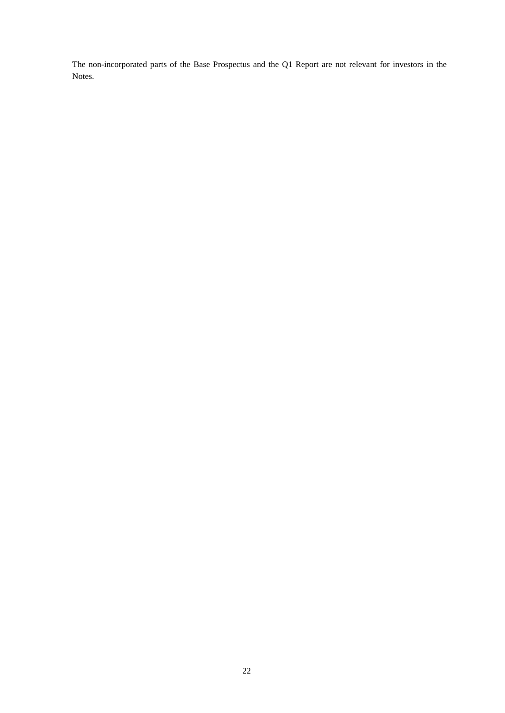The non-incorporated parts of the Base Prospectus and the Q1 Report are not relevant for investors in the Notes.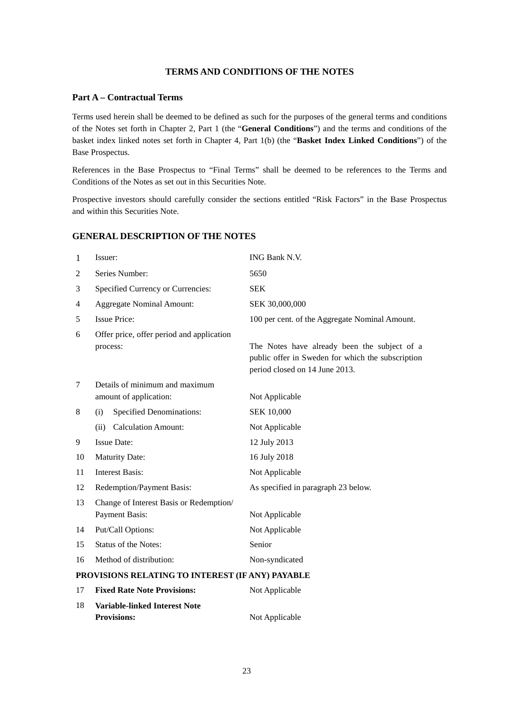# **TERMS AND CONDITIONS OF THE NOTES**

# **Part A – Contractual Terms**

Terms used herein shall be deemed to be defined as such for the purposes of the general terms and conditions of the Notes set forth in Chapter 2, Part 1 (the "**General Conditions**") and the terms and conditions of the basket index linked notes set forth in Chapter 4, Part 1(b) (the "**Basket Index Linked Conditions**") of the Base Prospectus.

References in the Base Prospectus to "Final Terms" shall be deemed to be references to the Terms and Conditions of the Notes as set out in this Securities Note.

Prospective investors should carefully consider the sections entitled "Risk Factors" in the Base Prospectus and within this Securities Note.

# **GENERAL DESCRIPTION OF THE NOTES**

| 1  | Issuer:                                                    | ING Bank N.V.                                                                                                                       |  |
|----|------------------------------------------------------------|-------------------------------------------------------------------------------------------------------------------------------------|--|
| 2  | Series Number:                                             | 5650                                                                                                                                |  |
| 3  | Specified Currency or Currencies:                          | <b>SEK</b>                                                                                                                          |  |
| 4  | <b>Aggregate Nominal Amount:</b>                           | SEK 30,000,000                                                                                                                      |  |
| 5  | <b>Issue Price:</b>                                        | 100 per cent. of the Aggregate Nominal Amount.                                                                                      |  |
| 6  | Offer price, offer period and application                  |                                                                                                                                     |  |
|    | process:                                                   | The Notes have already been the subject of a<br>public offer in Sweden for which the subscription<br>period closed on 14 June 2013. |  |
| 7  | Details of minimum and maximum                             |                                                                                                                                     |  |
|    | amount of application:                                     | Not Applicable                                                                                                                      |  |
| 8  | <b>Specified Denominations:</b><br>(i)                     | <b>SEK 10,000</b>                                                                                                                   |  |
|    | <b>Calculation Amount:</b><br>(ii)                         | Not Applicable                                                                                                                      |  |
| 9  | <b>Issue Date:</b>                                         | 12 July 2013                                                                                                                        |  |
| 10 | <b>Maturity Date:</b>                                      | 16 July 2018                                                                                                                        |  |
| 11 | <b>Interest Basis:</b>                                     | Not Applicable                                                                                                                      |  |
| 12 | Redemption/Payment Basis:                                  | As specified in paragraph 23 below.                                                                                                 |  |
| 13 | Change of Interest Basis or Redemption/                    |                                                                                                                                     |  |
|    | Payment Basis:                                             | Not Applicable                                                                                                                      |  |
| 14 | Put/Call Options:                                          | Not Applicable                                                                                                                      |  |
| 15 | <b>Status of the Notes:</b>                                | Senior                                                                                                                              |  |
| 16 | Method of distribution:                                    | Non-syndicated                                                                                                                      |  |
|    | PROVISIONS RELATING TO INTEREST (IF ANY) PAYABLE           |                                                                                                                                     |  |
| 17 | <b>Fixed Rate Note Provisions:</b>                         | Not Applicable                                                                                                                      |  |
| 18 | <b>Variable-linked Interest Note</b><br><b>Provisions:</b> | Not Applicable                                                                                                                      |  |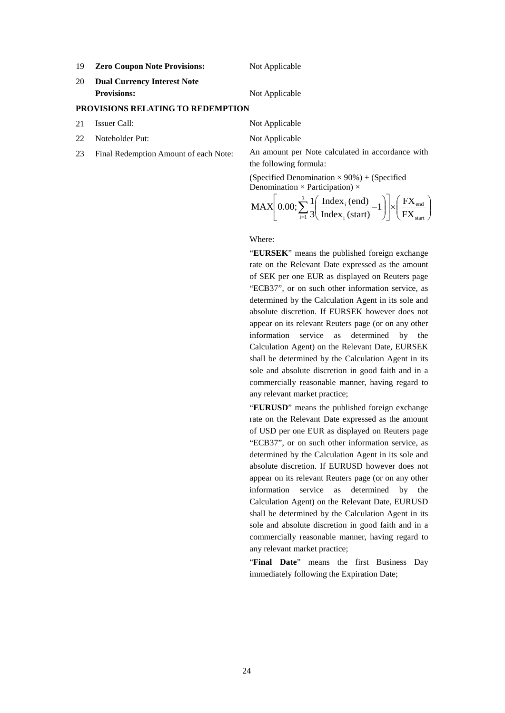19 **Zero Coupon Note Provisions:** Not Applicable

20 **Dual Currency Interest Note Provisions:** Not Applicable

## **PROVISIONS RELATING TO REDEMPTION**

- 21 Issuer Call: Not Applicable
- 22 Noteholder Put: Not Applicable
- 

23 Final Redemption Amount of each Note: An amount per Note calculated in accordance with the following formula:

> (Specified Denomination  $\times$  90%) + (Specified Denomination  $\times$  Participation)  $\times$

$$
\text{MAX}\left[0.00;\sum_{i=1}^{3}\frac{1}{3}\left(\frac{\text{Index}_{i}\left(\text{end}\right)}{\text{Index}_{i}\left(\text{start}\right)}-1\right)\right] \times \left(\frac{\text{FX}_{\text{end}}}{\text{FX}_{\text{start}}}\right)
$$

#### Where:

"**EURSEK**" means the published foreign exchange rate on the Relevant Date expressed as the amount of SEK per one EUR as displayed on Reuters page "ECB37", or on such other information service, as determined by the Calculation Agent in its sole and absolute discretion. If EURSEK however does not appear on its relevant Reuters page (or on any other information service as determined by the Calculation Agent) on the Relevant Date, EURSEK shall be determined by the Calculation Agent in its sole and absolute discretion in good faith and in a commercially reasonable manner, having regard to any relevant market practice;

"**EURUSD**" means the published foreign exchange rate on the Relevant Date expressed as the amount of USD per one EUR as displayed on Reuters page "ECB37", or on such other information service, as determined by the Calculation Agent in its sole and absolute discretion. If EURUSD however does not appear on its relevant Reuters page (or on any other information service as determined by the Calculation Agent) on the Relevant Date, EURUSD shall be determined by the Calculation Agent in its sole and absolute discretion in good faith and in a commercially reasonable manner, having regard to any relevant market practice;

"**Final Date**" means the first Business Day immediately following the Expiration Date;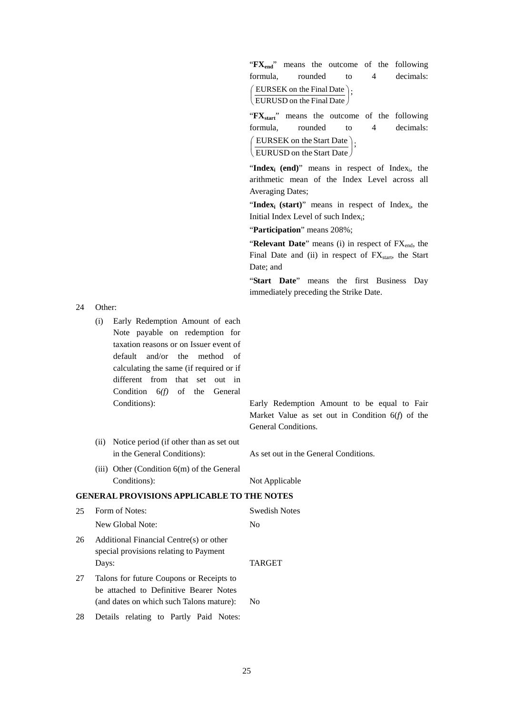24 Other:

- (i) Early Redemption Amount of each Note payable on redemption for taxation reasons or on Issuer event of default and/or the method of calculating the same (if required or if different from that set out in Condition 6*(f)* of the General Conditions): Early Redemption Amount to be equal to Fair
- (ii) Notice period (if other than as set out in the General Conditions): As set out in the General Conditions.

General Conditions.

(iii) Other (Condition 6(m) of the General Conditions): Not Applicable

#### **GENERAL PROVISIONS APPLICABLE TO THE NOTES**

| 25 | Form of Notes:                                                                                                                 | Swedish Notes  |
|----|--------------------------------------------------------------------------------------------------------------------------------|----------------|
|    | New Global Note:                                                                                                               | No             |
| 26 | Additional Financial Centre(s) or other<br>special provisions relating to Payment<br>Days:                                     | <b>TARGET</b>  |
| 27 | Talons for future Coupons or Receipts to<br>be attached to Definitive Bearer Notes<br>(and dates on which such Talons mature): | N <sub>0</sub> |
| 28 | Details relating to Partly Paid Notes:                                                                                         |                |

"**FX**<sub>end</sub>" means the outcome of the following formula, rounded to 4 decimals: J  $\left(\text{EURUSD on the Final Date}\right)$  $\left(\frac{\text{EURSEK on the Final Date}}{\text{ELINLEA}}\right);$ 

"**FX**<sub>start</sub>" means the outcome of the following formula, rounded to 4 decimals:

 $\left(\frac{\text{EURSEK on the Start Date}}{\text{ELUNLSP}_{1.5} + \text{ELUAP}_{2.5}}\right);$  $\left(\right.$  EURUSD on the Start Date  $\left.\right/$ ſ

"Index<sub>i</sub> (end)" means in respect of Index<sub>i</sub>, the arithmetic mean of the Index Level across all Averaging Dates;

"Index<sub>i</sub> (start)" means in respect of Index<sub>i</sub>, the Initial Index Level of such Index<sub>i</sub>;

"**Participation**" means 208%;

"Relevant Date" means (i) in respect of FX<sub>end</sub>, the Final Date and (ii) in respect of  $FX<sub>start</sub>$ , the Start Date; and

"**Start Date**" means the first Business Day immediately preceding the Strike Date.

Market Value as set out in Condition 6(*f*) of the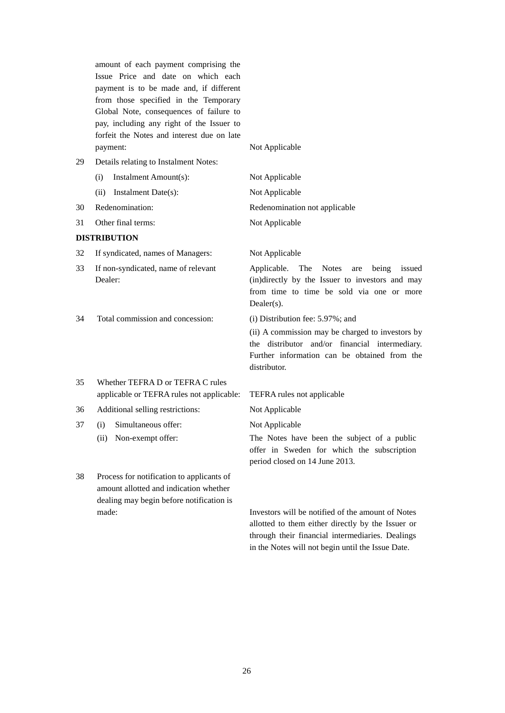amount of each payment comprising the Issue Price and date on which each payment is to be made and, if different from those specified in the Temporary Global Note, consequences of failure to pay, including any right of the Issuer to forfeit the Notes and interest due on late payment: Not Applicable

- (i) Instalment Amount(s): Not Applicable (ii) Instalment Date(s): Not Applicable 30 Redenomination: Redenomination not applicable
- 31 Other final terms: Not Applicable

# **DISTRIBUTION**

32 If syndicated, names of Managers: Not Applicable

29 Details relating to Instalment Notes:

- 33 If non-syndicated, name of relevant Dealer:
- 34 Total commission and concession: (i) Distribution fee: 5.97%; and

Applicable. The Notes are being issued (in)directly by the Issuer to investors and may from time to time be sold via one or more Dealer(s).

(ii) A commission may be charged to investors by the distributor and/or financial intermediary. Further information can be obtained from the distributor.

- 35 Whether TEFRA D or TEFRA C rules applicable or TEFRA rules not applicable: TEFRA rules not applicable
- 36 Additional selling restrictions: Not Applicable
- 37 (i) Simultaneous offer:
	- (ii) Non-exempt offer:
- 38 Process for notification to applicants of amount allotted and indication whether dealing may begin before notification is made: Investors will be notified of the amount of Notes

Not Applicable

The Notes have been the subject of a public offer in Sweden for which the subscription period closed on 14 June 2013.

allotted to them either directly by the Issuer or through their financial intermediaries. Dealings in the Notes will not begin until the Issue Date.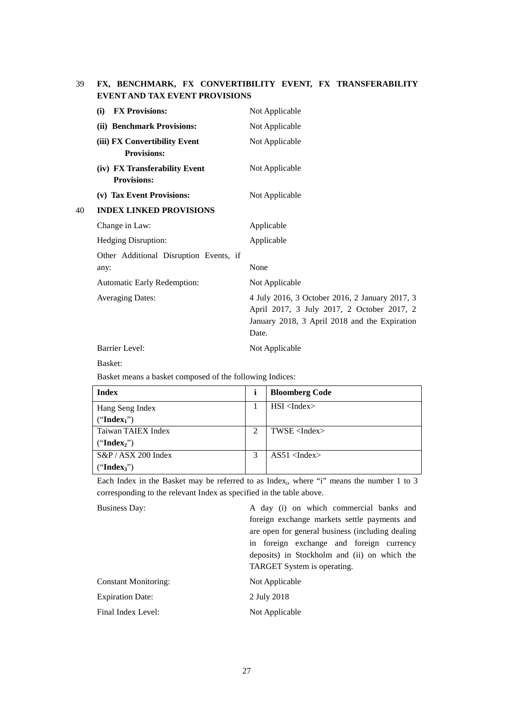# 39 **FX, BENCHMARK, FX CONVERTIBILITY EVENT, FX TRANSFERABILITY EVENT AND TAX EVENT PROVISIONS**

|    | <b>FX Provisions:</b><br>(i)                        | Not Applicable                                                                                                                                         |
|----|-----------------------------------------------------|--------------------------------------------------------------------------------------------------------------------------------------------------------|
|    | (ii) Benchmark Provisions:                          | Not Applicable                                                                                                                                         |
|    | (iii) FX Convertibility Event<br><b>Provisions:</b> | Not Applicable                                                                                                                                         |
|    | (iv) FX Transferability Event<br><b>Provisions:</b> | Not Applicable                                                                                                                                         |
|    | (v) Tax Event Provisions:                           | Not Applicable                                                                                                                                         |
| 40 | <b>INDEX LINKED PROVISIONS</b>                      |                                                                                                                                                        |
|    | Change in Law:                                      | Applicable                                                                                                                                             |
|    | Hedging Disruption:                                 | Applicable                                                                                                                                             |
|    | Other Additional Disruption Events, if<br>any:      | None                                                                                                                                                   |
|    | Automatic Early Redemption:                         | Not Applicable                                                                                                                                         |
|    | <b>Averaging Dates:</b>                             | 4 July 2016, 3 October 2016, 2 January 2017, 3<br>April 2017, 3 July 2017, 2 October 2017, 2<br>January 2018, 3 April 2018 and the Expiration<br>Date. |
|    | <b>Barrier Level:</b>                               | Not Applicable                                                                                                                                         |

Basket:

Basket means a basket composed of the following Indices:

| <b>Index</b>            | <b>Bloomberg Code</b>  |
|-------------------------|------------------------|
| Hang Seng Index         | $HSI$ <index></index>  |
| ("Index <sub>1</sub> ") |                        |
| Taiwan TAIEX Index      | $TWSE$ <index></index> |
| ("Index <sub>2</sub> ") |                        |
| $S\&P / ASX 200$ Index  | $AS51$ <index></index> |
| ("Index <sub>3</sub> ") |                        |

Each Index in the Basket may be referred to as Index<sub>i</sub>, where "i" means the number 1 to 3 corresponding to the relevant Index as specified in the table above.

| <b>Business Day:</b>        | A day (i) on which commercial banks and          |
|-----------------------------|--------------------------------------------------|
|                             | foreign exchange markets settle payments and     |
|                             | are open for general business (including dealing |
|                             | in foreign exchange and foreign currency         |
|                             | deposits) in Stockholm and (ii) on which the     |
|                             | <b>TARGET</b> System is operating.               |
| <b>Constant Monitoring:</b> | Not Applicable                                   |
| <b>Expiration Date:</b>     | 2 July 2018                                      |
| Final Index Level:          | Not Applicable                                   |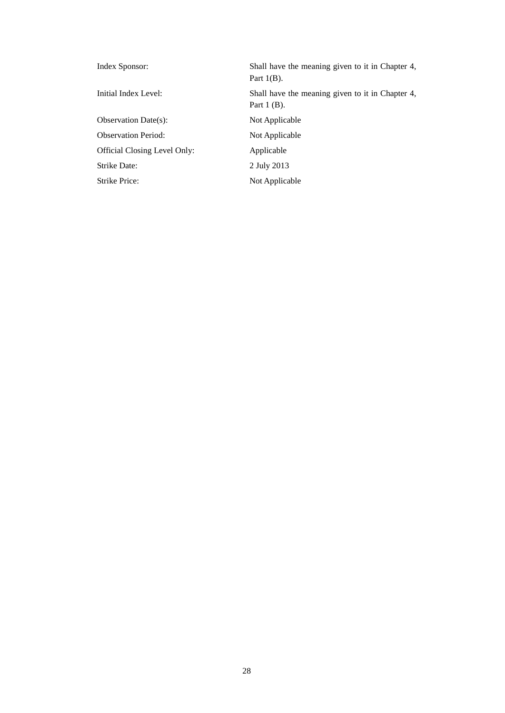| Index Sponsor:               | Shall have the meaning given to it in Chapter 4,<br>Part $1(B)$ . |
|------------------------------|-------------------------------------------------------------------|
| Initial Index Level:         | Shall have the meaning given to it in Chapter 4,<br>Part $1$ (B). |
| <b>Observation Date(s):</b>  | Not Applicable                                                    |
| <b>Observation Period:</b>   | Not Applicable                                                    |
| Official Closing Level Only: | Applicable                                                        |
| Strike Date:                 | 2 July 2013                                                       |
| Strike Price:                | Not Applicable                                                    |
|                              |                                                                   |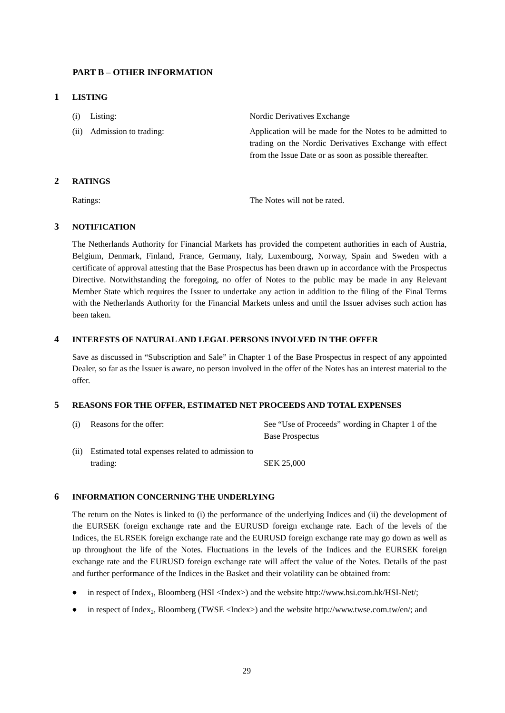# **PART B – OTHER INFORMATION**

## **1 LISTING**

- (i) Listing: Nordic Derivatives Exchange
- 

(ii) Admission to trading: Application will be made for the Notes to be admitted to trading on the Nordic Derivatives Exchange with effect from the Issue Date or as soon as possible thereafter.

## **2 RATINGS**

Ratings: The Notes will not be rated.

# **3 NOTIFICATION**

The Netherlands Authority for Financial Markets has provided the competent authorities in each of Austria, Belgium, Denmark, Finland, France, Germany, Italy, Luxembourg, Norway, Spain and Sweden with a certificate of approval attesting that the Base Prospectus has been drawn up in accordance with the Prospectus Directive. Notwithstanding the foregoing, no offer of Notes to the public may be made in any Relevant Member State which requires the Issuer to undertake any action in addition to the filing of the Final Terms with the Netherlands Authority for the Financial Markets unless and until the Issuer advises such action has been taken.

## **4 INTERESTS OF NATURAL AND LEGAL PERSONS INVOLVED IN THE OFFER**

Save as discussed in "Subscription and Sale" in Chapter 1 of the Base Prospectus in respect of any appointed Dealer, so far as the Issuer is aware, no person involved in the offer of the Notes has an interest material to the offer.

# **5 REASONS FOR THE OFFER, ESTIMATED NET PROCEEDS AND TOTAL EXPENSES**

| (i) | Reasons for the offer:                                | See "Use of Proceeds" wording in Chapter 1 of the |
|-----|-------------------------------------------------------|---------------------------------------------------|
|     |                                                       | <b>Base Prospectus</b>                            |
|     | (ii) Estimated total expenses related to admission to |                                                   |
|     | trading:                                              | SEK 25.000                                        |

## **6 INFORMATION CONCERNING THE UNDERLYING**

The return on the Notes is linked to (i) the performance of the underlying Indices and (ii) the development of the EURSEK foreign exchange rate and the EURUSD foreign exchange rate. Each of the levels of the Indices, the EURSEK foreign exchange rate and the EURUSD foreign exchange rate may go down as well as up throughout the life of the Notes. Fluctuations in the levels of the Indices and the EURSEK foreign exchange rate and the EURUSD foreign exchange rate will affect the value of the Notes. Details of the past and further performance of the Indices in the Basket and their volatility can be obtained from:

- in respect of Index<sub>1</sub>, Bloomberg (HSI <Index>) and the website http://www.hsi.com.hk/HSI-Net/;
- in respect of Index<sub>2</sub>, Bloomberg (TWSE <Index>) and the website http://www.twse.com.tw/en/; and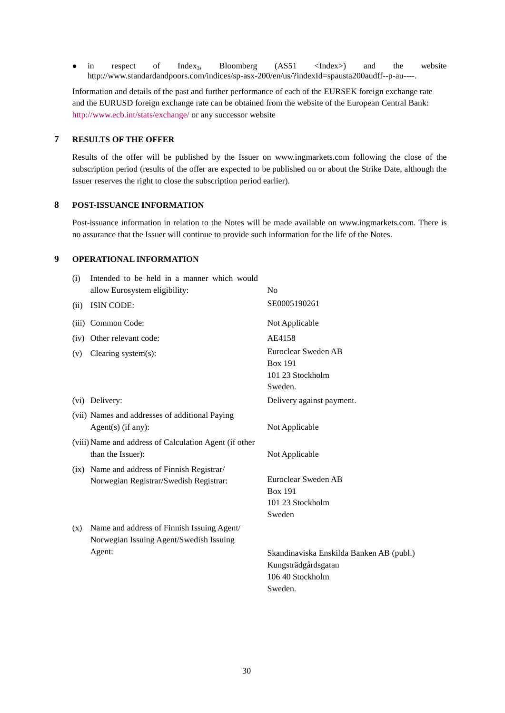• in respect of Index<sub>3</sub>, Bloomberg (AS51 <Index>) and the website http://www.standardandpoors.com/indices/sp-asx-200/en/us/?indexId=spausta200audff--p-au----.

Information and details of the past and further performance of each of the EURSEK foreign exchange rate and the EURUSD foreign exchange rate can be obtained from the website of the European Central Bank: <http://www.ecb.int/stats/exchange/> or any successor website

## **7 RESULTS OF THE OFFER**

Results of the offer will be published by the Issuer on www.ingmarkets.com following the close of the subscription period (results of the offer are expected to be published on or about the Strike Date, although the Issuer reserves the right to close the subscription period earlier).

# **8 POST-ISSUANCE INFORMATION**

Post-issuance information in relation to the Notes will be made available on www.ingmarkets.com. There is no assurance that the Issuer will continue to provide such information for the life of the Notes.

## **9 OPERATIONAL INFORMATION**

| (i)   | Intended to be held in a manner which would<br>allow Eurosystem eligibility: | N <sub>o</sub>                           |
|-------|------------------------------------------------------------------------------|------------------------------------------|
| (ii)  | ISIN CODE:                                                                   | SE0005190261                             |
| (iii) | Common Code:                                                                 | Not Applicable                           |
| (iv)  | Other relevant code:                                                         | AE4158                                   |
| (v)   | Clearing system(s):                                                          | Euroclear Sweden AB                      |
|       |                                                                              | <b>Box 191</b>                           |
|       |                                                                              | 101 23 Stockholm                         |
|       |                                                                              | Sweden.                                  |
|       | (vi) Delivery:                                                               | Delivery against payment.                |
|       | (vii) Names and addresses of additional Paying                               |                                          |
|       | Agent $(s)$ (if any):                                                        | Not Applicable                           |
|       | (viii) Name and address of Calculation Agent (if other                       |                                          |
|       | than the Issuer):                                                            | Not Applicable                           |
|       | (ix) Name and address of Finnish Registrar/                                  |                                          |
|       | Norwegian Registrar/Swedish Registrar:                                       | Euroclear Sweden AB                      |
|       |                                                                              | <b>Box 191</b>                           |
|       |                                                                              | 101 23 Stockholm                         |
|       |                                                                              | Sweden                                   |
| (x)   | Name and address of Finnish Issuing Agent/                                   |                                          |
|       | Norwegian Issuing Agent/Swedish Issuing                                      |                                          |
|       | Agent:                                                                       | Skandinaviska Enskilda Banken AB (publ.) |
|       |                                                                              | Kungsträdgårdsgatan                      |
|       |                                                                              | 106 40 Stockholm                         |
|       |                                                                              | Sweden.                                  |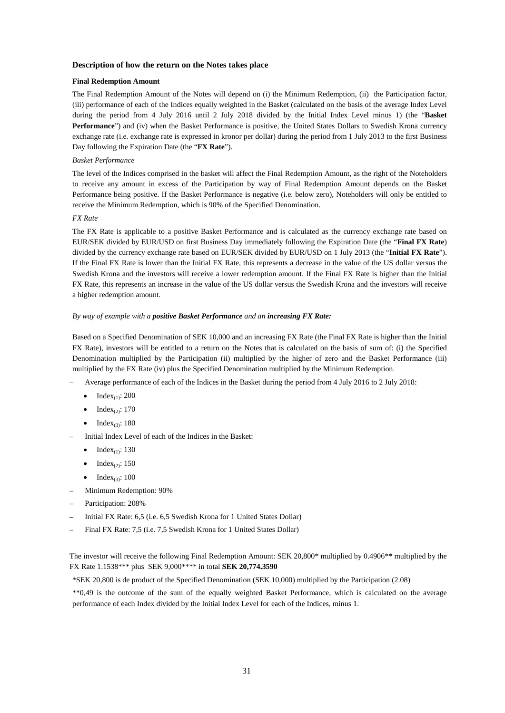#### **Description of how the return on the Notes takes place**

#### **Final Redemption Amount**

The Final Redemption Amount of the Notes will depend on (i) the Minimum Redemption, (ii) the Participation factor, (iii) performance of each of the Indices equally weighted in the Basket (calculated on the basis of the average Index Level during the period from 4 July 2016 until 2 July 2018 divided by the Initial Index Level minus 1) (the "**Basket Performance**") and (iv) when the Basket Performance is positive, the United States Dollars to Swedish Krona currency exchange rate (i.e. exchange rate is expressed in kronor per dollar) during the period from 1 July 2013 to the first Business Day following the Expiration Date (the "**FX Rate**").

#### *Basket Performance*

The level of the Indices comprised in the basket will affect the Final Redemption Amount, as the right of the Noteholders to receive any amount in excess of the Participation by way of Final Redemption Amount depends on the Basket Performance being positive. If the Basket Performance is negative (i.e. below zero), Noteholders will only be entitled to receive the Minimum Redemption, which is 90% of the Specified Denomination.

#### *FX Rate*

The FX Rate is applicable to a positive Basket Performance and is calculated as the currency exchange rate based on EUR/SEK divided by EUR/USD on first Business Day immediately following the Expiration Date (the "**Final FX Rate**) divided by the currency exchange rate based on EUR/SEK divided by EUR/USD on 1 July 2013 (the "**Initial FX Rate**"). If the Final FX Rate is lower than the Initial FX Rate, this represents a decrease in the value of the US dollar versus the Swedish Krona and the investors will receive a lower redemption amount. If the Final FX Rate is higher than the Initial FX Rate, this represents an increase in the value of the US dollar versus the Swedish Krona and the investors will receive a higher redemption amount.

#### *By way of example with a positive Basket Performance and an increasing FX Rate:*

Based on a Specified Denomination of SEK 10,000 and an increasing FX Rate (the Final FX Rate is higher than the Initial FX Rate), investors will be entitled to a return on the Notes that is calculated on the basis of sum of: (i) the Specified Denomination multiplied by the Participation (ii) multiplied by the higher of zero and the Basket Performance (iii) multiplied by the FX Rate (iv) plus the Specified Denomination multiplied by the Minimum Redemption.

- Average performance of each of the Indices in the Basket during the period from 4 July 2016 to 2 July 2018:
	- $\bullet$  Index<sub>(1)</sub>: 200
	- $\bullet$  Index<sub>(2)</sub>: 170
	- $\bullet$  Index<sub>(3)</sub>: 180
- Initial Index Level of each of the Indices in the Basket:
	- $\bullet$  Index<sub>(1)</sub>: 130
	- $\bullet$  Index<sub>(2)</sub>: 150
	- Index<sub>(3)</sub>: 100
- Minimum Redemption: 90%
- Participation: 208%
- Initial FX Rate: 6,5 (i.e. 6,5 Swedish Krona for 1 United States Dollar)
- Final FX Rate: 7,5 (i.e. 7,5 Swedish Krona for 1 United States Dollar)

The investor will receive the following Final Redemption Amount: SEK 20,800\* multiplied by 0.4906\*\* multiplied by the FX Rate 1.1538\*\*\* plus SEK 9,000\*\*\*\* in total **SEK 20,774.3590**

\*SEK 20,800 is de product of the Specified Denomination (SEK 10,000) multiplied by the Participation (2.08)

\*\*0,49 is the outcome of the sum of the equally weighted Basket Performance, which is calculated on the average performance of each Index divided by the Initial Index Level for each of the Indices, minus 1.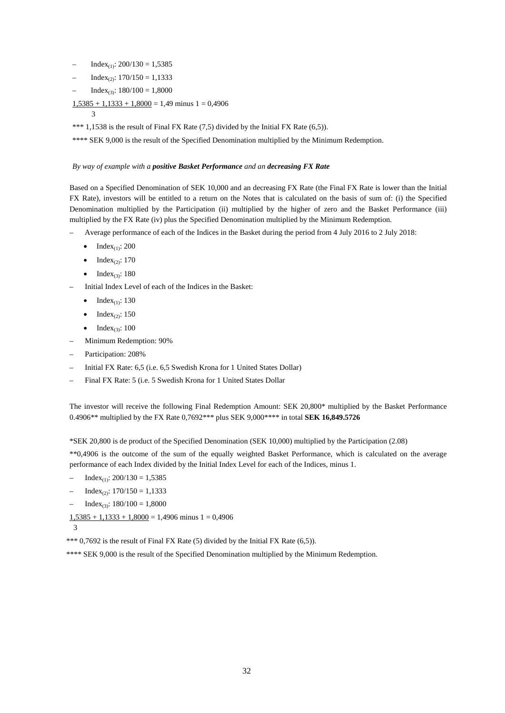- $Index_{(1)}$ : 200/130 = 1,5385
- $Index_{(2)}$ : 170/150 = 1,1333
- $Index_{(3)}$ : 180/100 = 1,8000
- $1,5385 + 1,1333 + 1,8000 = 1,49$  minus  $1 = 0,4906$

3

\*\*\* 1,1538 is the result of Final FX Rate (7,5) divided by the Initial FX Rate (6,5)).

\*\*\*\* SEK 9,000 is the result of the Specified Denomination multiplied by the Minimum Redemption.

#### *By way of example with a positive Basket Performance and an decreasing FX Rate*

Based on a Specified Denomination of SEK 10,000 and an decreasing FX Rate (the Final FX Rate is lower than the Initial FX Rate), investors will be entitled to a return on the Notes that is calculated on the basis of sum of: (i) the Specified Denomination multiplied by the Participation (ii) multiplied by the higher of zero and the Basket Performance (iii) multiplied by the FX Rate (iv) plus the Specified Denomination multiplied by the Minimum Redemption.

- Average performance of each of the Indices in the Basket during the period from 4 July 2016 to 2 July 2018:
	- $\bullet$  Index<sub>(1)</sub>: 200
	- $\bullet$  Index<sub>(2)</sub>: 170
	- $\bullet$  Index<sub>(3)</sub>: 180
- Initial Index Level of each of the Indices in the Basket:
	- $\bullet$  Index<sub>(1)</sub>: 130
	- $\bullet$  Index<sub>(2)</sub>: 150
	- Index<sub>(3)</sub>:  $100$
- Minimum Redemption: 90%
- Participation: 208%
- Initial FX Rate: 6,5 (i.e. 6,5 Swedish Krona for 1 United States Dollar)
- Final FX Rate: 5 (i.e. 5 Swedish Krona for 1 United States Dollar

The investor will receive the following Final Redemption Amount: SEK 20,800\* multiplied by the Basket Performance 0.4906\*\* multiplied by the FX Rate 0,7692\*\*\* plus SEK 9,000\*\*\*\* in total **SEK 16,849.5726**

\*SEK 20,800 is de product of the Specified Denomination (SEK 10,000) multiplied by the Participation (2.08)

\*\*0,4906 is the outcome of the sum of the equally weighted Basket Performance, which is calculated on the average performance of each Index divided by the Initial Index Level for each of the Indices, minus 1.

- $Index_{(1)}$ : 200/130 = 1,5385
- $-$  Index<sub>(2)</sub>:  $170/150 = 1,1333$
- $Index_{(3)}$ : 180/100 = 1,8000

 $1,5385 + 1,1333 + 1,8000 = 1,4906$  minus  $1 = 0,4906$ 

3

\*\*\* 0,7692 is the result of Final FX Rate (5) divided by the Initial FX Rate (6,5)).

\*\*\*\* SEK 9,000 is the result of the Specified Denomination multiplied by the Minimum Redemption.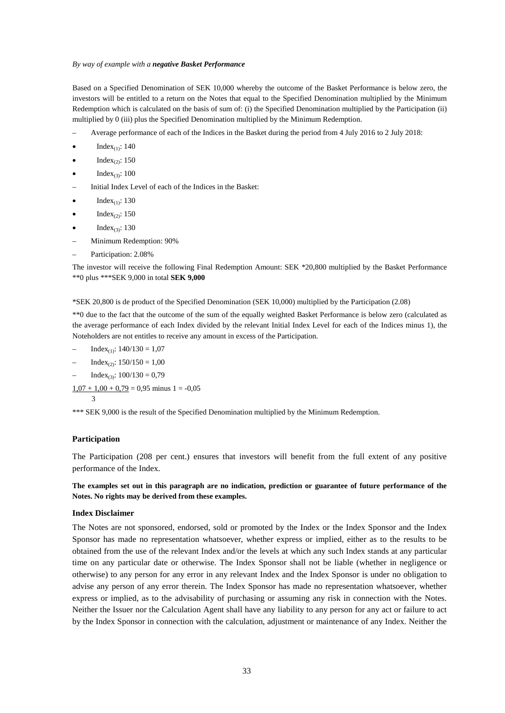#### *By way of example with a negative Basket Performance*

Based on a Specified Denomination of SEK 10,000 whereby the outcome of the Basket Performance is below zero, the investors will be entitled to a return on the Notes that equal to the Specified Denomination multiplied by the Minimum Redemption which is calculated on the basis of sum of: (i) the Specified Denomination multiplied by the Participation (ii) multiplied by 0 (iii) plus the Specified Denomination multiplied by the Minimum Redemption.

- Average performance of each of the Indices in the Basket during the period from 4 July 2016 to 2 July 2018:
- Index<sub>(1)</sub>: 140
- $Index_{(2)}$ : 150
- $Index_{(3)}$ : 100
- Initial Index Level of each of the Indices in the Basket:
- Index $\alpha$ : 130
- $Index_{(2)}$ : 150
- Index $_{(3)}$ : 130
- Minimum Redemption: 90%
- Participation: 2.08%

The investor will receive the following Final Redemption Amount: SEK \*20,800 multiplied by the Basket Performance \*\*0 plus \*\*\*SEK 9,000 in total **SEK 9,000**

\*SEK 20,800 is de product of the Specified Denomination (SEK 10,000) multiplied by the Participation (2.08)

\*\*0 due to the fact that the outcome of the sum of the equally weighted Basket Performance is below zero (calculated as the average performance of each Index divided by the relevant Initial Index Level for each of the Indices minus 1), the Noteholders are not entitles to receive any amount in excess of the Participation.

- $Index_{(1)}$ :  $140/130 = 1,07$
- $Index_{(2)}$ :  $150/150 = 1,00$
- $Index_{(3)}$ :  $100/130 = 0,79$
- $1,07 + 1,00 + 0,79 = 0,95$  minus 1 = -0,05

\*\*\* SEK 9,000 is the result of the Specified Denomination multiplied by the Minimum Redemption.

#### **Participation**

3

The Participation (208 per cent.) ensures that investors will benefit from the full extent of any positive performance of the Index.

**The examples set out in this paragraph are no indication, prediction or guarantee of future performance of the Notes. No rights may be derived from these examples.**

#### **Index Disclaimer**

The Notes are not sponsored, endorsed, sold or promoted by the Index or the Index Sponsor and the Index Sponsor has made no representation whatsoever, whether express or implied, either as to the results to be obtained from the use of the relevant Index and/or the levels at which any such Index stands at any particular time on any particular date or otherwise. The Index Sponsor shall not be liable (whether in negligence or otherwise) to any person for any error in any relevant Index and the Index Sponsor is under no obligation to advise any person of any error therein. The Index Sponsor has made no representation whatsoever, whether express or implied, as to the advisability of purchasing or assuming any risk in connection with the Notes. Neither the Issuer nor the Calculation Agent shall have any liability to any person for any act or failure to act by the Index Sponsor in connection with the calculation, adjustment or maintenance of any Index. Neither the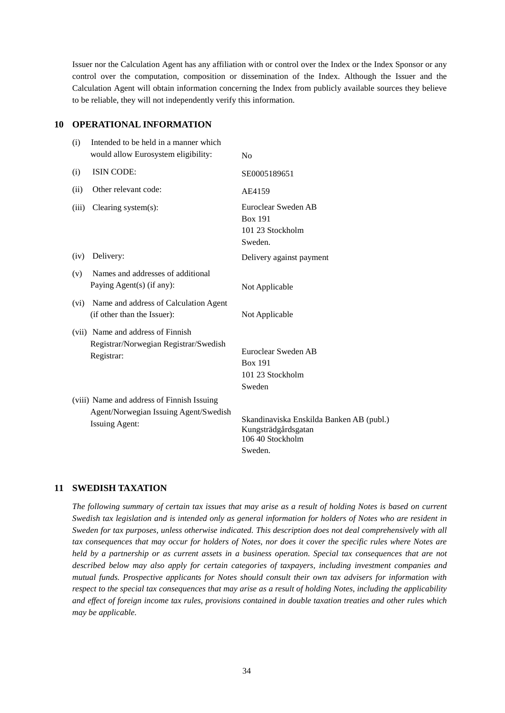Issuer nor the Calculation Agent has any affiliation with or control over the Index or the Index Sponsor or any control over the computation, composition or dissemination of the Index. Although the Issuer and the Calculation Agent will obtain information concerning the Index from publicly available sources they believe to be reliable, they will not independently verify this information.

# **10 OPERATIONAL INFORMATION**

| (i)   | Intended to be held in a manner which<br>would allow Eurosystem eligibility:                                 | No                                                                                             |
|-------|--------------------------------------------------------------------------------------------------------------|------------------------------------------------------------------------------------------------|
| (i)   | ISIN CODE:                                                                                                   | SE0005189651                                                                                   |
| (ii)  | Other relevant code:                                                                                         | AE4159                                                                                         |
| (iii) | Clearing system $(s)$ :                                                                                      | Euroclear Sweden AB<br><b>Box 191</b><br>101 23 Stockholm<br>Sweden.                           |
| (iv)  | Delivery:                                                                                                    | Delivery against payment                                                                       |
| (v)   | Names and addresses of additional<br>Paying Agent(s) (if any):                                               | Not Applicable                                                                                 |
| (vi)  | Name and address of Calculation Agent<br>(if other than the Issuer):                                         | Not Applicable                                                                                 |
|       | (vii) Name and address of Finnish<br>Registrar/Norwegian Registrar/Swedish<br>Registrar:                     | Euroclear Sweden AB<br><b>Box 191</b><br>101 23 Stockholm<br>Sweden                            |
|       | (viii) Name and address of Finnish Issuing<br>Agent/Norwegian Issuing Agent/Swedish<br><b>Issuing Agent:</b> | Skandinaviska Enskilda Banken AB (publ.)<br>Kungsträdgårdsgatan<br>106 40 Stockholm<br>Sweden. |

# **11 SWEDISH TAXATION**

*The following summary of certain tax issues that may arise as a result of holding Notes is based on current Swedish tax legislation and is intended only as general information for holders of Notes who are resident in Sweden for tax purposes, unless otherwise indicated. This description does not deal comprehensively with all tax consequences that may occur for holders of Notes, nor does it cover the specific rules where Notes are held by a partnership or as current assets in a business operation. Special tax consequences that are not described below may also apply for certain categories of taxpayers, including investment companies and mutual funds. Prospective applicants for Notes should consult their own tax advisers for information with respect to the special tax consequences that may arise as a result of holding Notes, including the applicability and effect of foreign income tax rules, provisions contained in double taxation treaties and other rules which may be applicable.*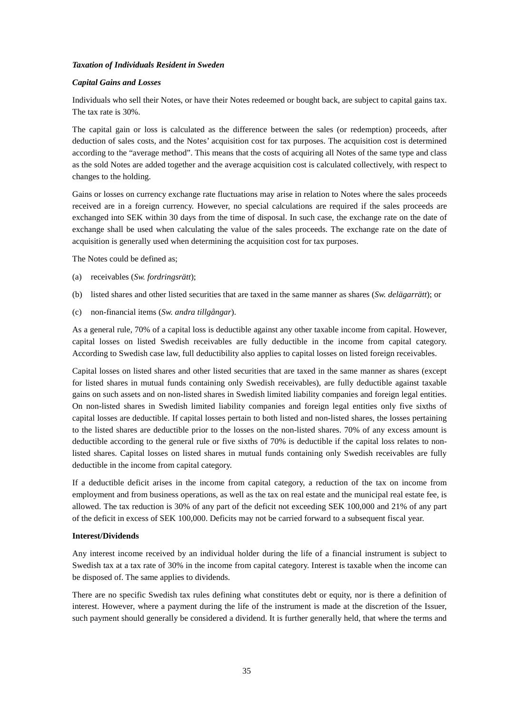## *Taxation of Individuals Resident in Sweden*

## *Capital Gains and Losses*

Individuals who sell their Notes, or have their Notes redeemed or bought back, are subject to capital gains tax. The tax rate is 30%.

The capital gain or loss is calculated as the difference between the sales (or redemption) proceeds, after deduction of sales costs, and the Notes' acquisition cost for tax purposes. The acquisition cost is determined according to the "average method". This means that the costs of acquiring all Notes of the same type and class as the sold Notes are added together and the average acquisition cost is calculated collectively, with respect to changes to the holding.

Gains or losses on currency exchange rate fluctuations may arise in relation to Notes where the sales proceeds received are in a foreign currency. However, no special calculations are required if the sales proceeds are exchanged into SEK within 30 days from the time of disposal. In such case, the exchange rate on the date of exchange shall be used when calculating the value of the sales proceeds. The exchange rate on the date of acquisition is generally used when determining the acquisition cost for tax purposes.

The Notes could be defined as;

- (a) receivables (*Sw. fordringsrätt*);
- (b) listed shares and other listed securities that are taxed in the same manner as shares (*Sw. delägarrätt*); or
- (c) non-financial items (*Sw. andra tillgångar*).

As a general rule, 70% of a capital loss is deductible against any other taxable income from capital. However, capital losses on listed Swedish receivables are fully deductible in the income from capital category. According to Swedish case law, full deductibility also applies to capital losses on listed foreign receivables.

Capital losses on listed shares and other listed securities that are taxed in the same manner as shares (except for listed shares in mutual funds containing only Swedish receivables), are fully deductible against taxable gains on such assets and on non-listed shares in Swedish limited liability companies and foreign legal entities. On non-listed shares in Swedish limited liability companies and foreign legal entities only five sixths of capital losses are deductible. If capital losses pertain to both listed and non-listed shares, the losses pertaining to the listed shares are deductible prior to the losses on the non-listed shares. 70% of any excess amount is deductible according to the general rule or five sixths of 70% is deductible if the capital loss relates to nonlisted shares. Capital losses on listed shares in mutual funds containing only Swedish receivables are fully deductible in the income from capital category.

If a deductible deficit arises in the income from capital category, a reduction of the tax on income from employment and from business operations, as well as the tax on real estate and the municipal real estate fee, is allowed. The tax reduction is 30% of any part of the deficit not exceeding SEK 100,000 and 21% of any part of the deficit in excess of SEK 100,000. Deficits may not be carried forward to a subsequent fiscal year.

## **Interest/Dividends**

Any interest income received by an individual holder during the life of a financial instrument is subject to Swedish tax at a tax rate of 30% in the income from capital category. Interest is taxable when the income can be disposed of. The same applies to dividends.

There are no specific Swedish tax rules defining what constitutes debt or equity, nor is there a definition of interest. However, where a payment during the life of the instrument is made at the discretion of the Issuer, such payment should generally be considered a dividend. It is further generally held, that where the terms and